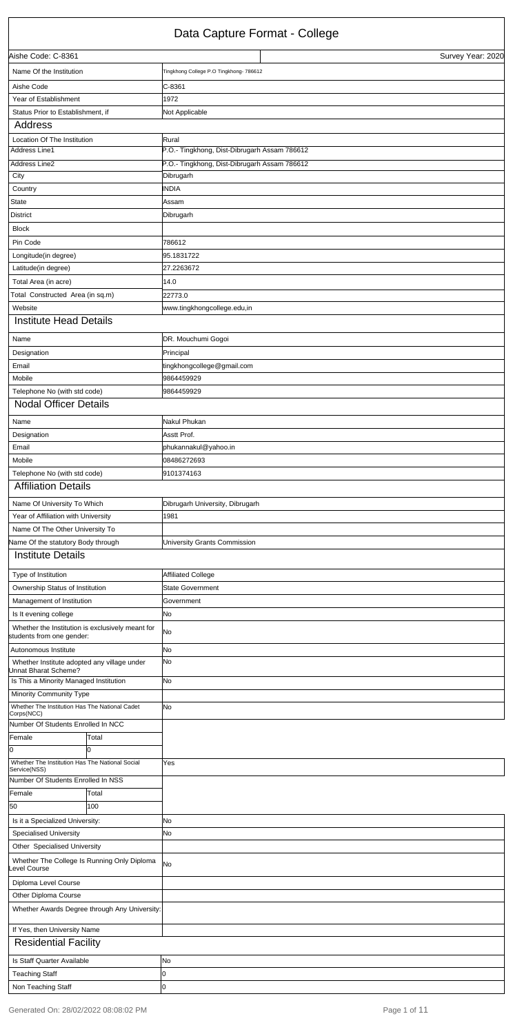#### Data Capture Format - College

|                                                                     |       | Data Oapture Format Tomogo                   |                   |
|---------------------------------------------------------------------|-------|----------------------------------------------|-------------------|
| Aishe Code: C-8361                                                  |       |                                              | Survey Year: 2020 |
| Name Of the Institution                                             |       | Tingkhong College P.O Tingkhong- 786612      |                   |
| Aishe Code                                                          |       | $C-8361$                                     |                   |
| Year of Establishment                                               |       | 1972                                         |                   |
| Status Prior to Establishment, if                                   |       | Not Applicable                               |                   |
| Address                                                             |       |                                              |                   |
| Location Of The Institution                                         |       | Rural                                        |                   |
| Address Line1                                                       |       | P.O.- Tingkhong, Dist-Dibrugarh Assam 786612 |                   |
| Address Line2                                                       |       | P.O.- Tingkhong, Dist-Dibrugarh Assam 786612 |                   |
| City                                                                |       | Dibrugarh                                    |                   |
| Country                                                             |       | <b>INDIA</b>                                 |                   |
| <b>State</b>                                                        |       | Assam                                        |                   |
| <b>District</b>                                                     |       | Dibrugarh                                    |                   |
| <b>Block</b>                                                        |       |                                              |                   |
| Pin Code                                                            |       | 786612                                       |                   |
| Longitude(in degree)                                                |       | 95.1831722                                   |                   |
| Latitude(in degree)                                                 |       | 27.2263672                                   |                   |
| Total Area (in acre)                                                |       | 14.0                                         |                   |
| Total Constructed Area (in sq.m)                                    |       | 22773.0                                      |                   |
| Website                                                             |       | www.tingkhongcollege.edu,in                  |                   |
| <b>Institute Head Details</b>                                       |       |                                              |                   |
| Name                                                                |       | DR. Mouchumi Gogoi                           |                   |
| Designation                                                         |       | Principal                                    |                   |
| Email                                                               |       | tingkhongcollege@gmail.com                   |                   |
| Mobile                                                              |       | 9864459929                                   |                   |
| Telephone No (with std code)                                        |       | 9864459929                                   |                   |
| <b>Nodal Officer Details</b>                                        |       |                                              |                   |
| Name                                                                |       | Nakul Phukan                                 |                   |
| Designation                                                         |       | Asstt Prof.                                  |                   |
| Email                                                               |       | phukannakul@yahoo.in                         |                   |
| Mobile                                                              |       | 08486272693                                  |                   |
| Telephone No (with std code)                                        |       | 9101374163                                   |                   |
| <b>Affiliation Details</b>                                          |       |                                              |                   |
|                                                                     |       |                                              |                   |
| Name Of University To Which                                         |       | Dibrugarh University, Dibrugarh              |                   |
| Year of Affiliation with University                                 |       | 1981                                         |                   |
| Name Of The Other University To                                     |       |                                              |                   |
| Vame Of the statutory Body through                                  |       | University Grants Commission                 |                   |
| <b>Institute Details</b>                                            |       |                                              |                   |
| Type of Institution                                                 |       | <b>Affiliated College</b>                    |                   |
| Ownership Status of Institution                                     |       | <b>State Government</b>                      |                   |
| Management of Institution                                           |       | Government                                   |                   |
| Is It evening college                                               |       | No                                           |                   |
| Whether the Institution is exclusively meant for                    |       | No                                           |                   |
| students from one gender:                                           |       |                                              |                   |
| Autonomous Institute                                                |       | No                                           |                   |
| Whether Institute adopted any village under<br>Jnnat Bharat Scheme? |       | No                                           |                   |
| Is This a Minority Managed Institution                              |       | No                                           |                   |
| Minority Community Type                                             |       |                                              |                   |
| Whether The Institution Has The National Cadet<br>Corps(NCC)        |       | No                                           |                   |
| Number Of Students Enrolled In NCC                                  |       |                                              |                   |
| Female                                                              | Total |                                              |                   |
| 0                                                                   | l0    |                                              |                   |
| Whether The Institution Has The National Social                     |       | Yes                                          |                   |

| Service(NSS)                    |                                               |           |
|---------------------------------|-----------------------------------------------|-----------|
|                                 | Number Of Students Enrolled In NSS            |           |
| Female                          | Total                                         |           |
| 50                              | 100                                           |           |
| Is it a Specialized University: |                                               | No        |
| <b>Specialised University</b>   |                                               | No        |
| Other Specialised University    |                                               |           |
| evel Course                     | Whether The College Is Running Only Diploma   | <b>No</b> |
| Diploma Level Course            |                                               |           |
| Other Diploma Course            |                                               |           |
|                                 | Whether Awards Degree through Any University: |           |
| If Yes, then University Name    |                                               |           |
| <b>Residential Facility</b>     |                                               |           |
| Is Staff Quarter Available      |                                               | No        |
| <b>Teaching Staff</b>           |                                               |           |
| Non Teaching Staff              |                                               |           |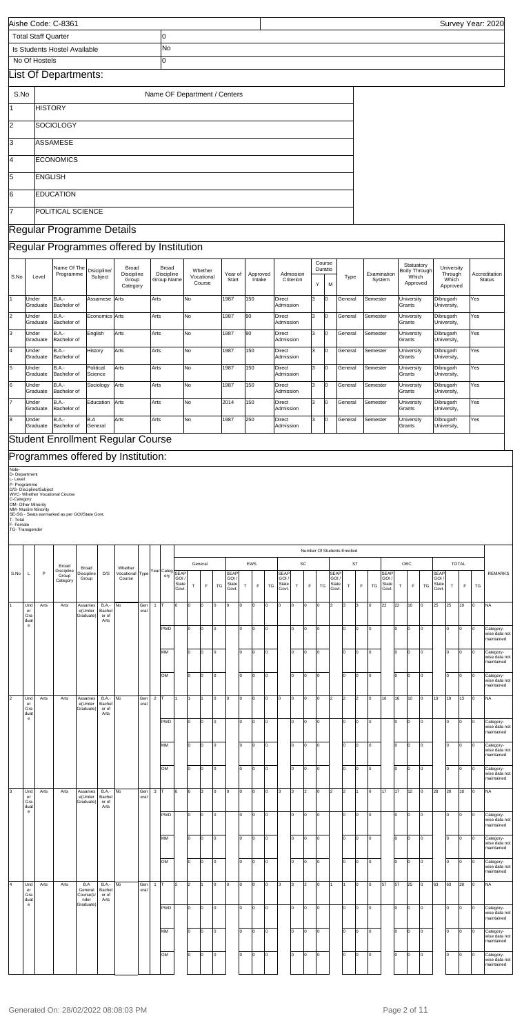| Aishe Code: C-8361                                                                     |            | Survey Year: 2020 |
|----------------------------------------------------------------------------------------|------------|-------------------|
| <b>Total Staff Quarter</b>                                                             |            |                   |
| l Is Students Hostel Available                                                         | <b>INo</b> |                   |
| No Of Hostels                                                                          |            |                   |
| $\mathbf{L}$ at $\mathbf{L} \mathbf{L}$ $\mathbf{L}$ and $\mathbf{L}$ and $\mathbf{L}$ |            |                   |

# List Of Departments:

| S.No           | Name OF Department / Centers |
|----------------|------------------------------|
| Ī1             | <b>HISTORY</b>               |
| $\overline{2}$ | <b>SOCIOLOGY</b>             |
| 3              | ASSAMESE                     |
| 14             | <b>ECONOMICS</b>             |
| 5              | <b>ENGLISH</b>               |
| 6              | <b>EDUCATION</b>             |
| 7              | POLITICAL SCIENCE            |

## Regular Programme Details

### Regular Programmes offered by Institution

# Programmes offered by Institution:

Note-<br>D. Department<br>D. Severanme<br>D/S- Discipline/Subject<br>D/S- Discipline/Subject<br>WVC- Whether Viocational Course<br>OM- Other Minority<br>SE-SG - Seats earmarked as per GOI/State Govt.<br>T- Total<br>T-S- Transgender

|                |                   | Name Of The<br>Programme    | Dsicipline/          | <b>Broad</b><br><b>Discipline</b>        | <b>Broad</b><br><b>Discipline</b> | Whether              | Year of | Approved | Admission                  |   | Course<br>Duratio |         | Examination | Statuatory<br>Body Through   | University<br>Through    | Accreditation |
|----------------|-------------------|-----------------------------|----------------------|------------------------------------------|-----------------------------------|----------------------|---------|----------|----------------------------|---|-------------------|---------|-------------|------------------------------|--------------------------|---------------|
| S.No           | Level             |                             | Subject              | Group<br>Category                        | Group Name                        | Vocational<br>Course | Start   | Intake   | Criterion                  | Y | M                 | Type    | System      | Which<br>Approved            | Which<br>Approved        | <b>Status</b> |
|                | Under<br>Graduate | B.A.-<br>Bachelor of        | Assamese Arts        |                                          | Arts                              | <b>No</b>            | 1987    | 150      | Direct<br>Admission        |   | Iо                | Genera  | Semester    | University<br><b>IGrants</b> | Dibrugarh<br>University, | Yes           |
| $\overline{2}$ | Under<br>Graduate | B.A.-<br>Bachelor of        | Economics Arts       |                                          | Arts                              | <b>No</b>            | 1987    | 190      | Direct<br>Admission        |   |                   | General | Semester    | University<br>Grants         | Dibrugarh<br>University, | Yes           |
| l3             | Under<br>Graduate | <b>B.A.-</b><br>Bachelor of | English              | Arts                                     | Arts                              | No                   | 1987    | 90       | Direct<br>Admission        |   | l0                | General | Semester    | University<br>Grants         | Dibrugarh<br>University, | Yes           |
| l4             | Under<br>Graduate | <b>B.A.-</b><br>Bachelor of | History              | Arts                                     | Arts                              | No                   | 1987    | 150      | Direct<br>Admission        |   | l0                | General | Semester    | University<br>Grants         | Dibrugarh<br>University, | Yes           |
| 5              | Under<br>Graduate | B.A.-<br>Bachelor of        | Political<br>Science | Arts                                     | Arts                              | <b>No</b>            | 1987    | 150      | <b>Direct</b><br>Admission |   | l0                | General | lSemester   | University<br>Grants         | Dibrugarh<br>University, | Yes           |
| l6             | Under<br>Graduate | B.A.-<br>Bachelor of        | Sociology            | Arts                                     | Arts                              | <b>No</b>            | 1987    | 150      | Direct<br>Admission        |   | l0                | Genera  | Semester    | University<br>Grants         | Dibrugarh<br>University, | Yes           |
| $\overline{7}$ | Under<br>Graduate | <b>B.A.-</b><br>Bachelor of | Education            | Arts                                     | Arts                              | <b>No</b>            | 2014    | 150      | <b>Direct</b><br>Admission |   | l0                | General | Semester    | University<br><b>IGrants</b> | Dibrugarh<br>University, | Yes           |
| l8             | Under<br>Graduate | B.A.-<br>Bachelor of        | B.A<br>General       | Arts                                     | Arts                              | <b>No</b>            | 1987    | 250      | Direct<br>Admission        |   | l0                | General | Semester    | University<br>Grants         | Dibrugarh<br>University, | Yes           |
|                |                   |                             |                      | <b>Student Enrollment Regular Course</b> |                                   |                      |         |          |                            |   |                   |         |             |                              |                          |               |

|                |      |                                            |      |                                 |                                    |                                         |                      |             |                |                        |                        |        |         |     |                                        |     |     |     |                                      |    | Number Of Students Enrolled |          |                                             |         |                |     |                               |             |             |     |                                        |            |              |                           |                                          |
|----------------|------|--------------------------------------------|------|---------------------------------|------------------------------------|-----------------------------------------|----------------------|-------------|----------------|------------------------|------------------------|--------|---------|-----|----------------------------------------|-----|-----|-----|--------------------------------------|----|-----------------------------|----------|---------------------------------------------|---------|----------------|-----|-------------------------------|-------------|-------------|-----|----------------------------------------|------------|--------------|---------------------------|------------------------------------------|
|                |      |                                            |      | Broad                           | Broad                              |                                         | Whether              |             |                |                        |                        |        | General |     |                                        |     | EWS |     |                                      |    | SC                          |          |                                             |         | ST             |     |                               |             | OBC         |     |                                        |            | <b>TOTAL</b> |                           |                                          |
|                | S.No | $\mathbf{L}$                               | P    | Discipline<br>Group<br>Category | Discipline<br>Group                | D/S                                     | Vocational<br>Course | Type        |                | Year Categ SEAP<br>ory | GOI.<br>State<br>Govt. | $\top$ | E       | TG  | <b>SEAF</b><br>GOI /<br>State<br>Govt. | T.  | F   | TG  | <b>SEAP</b><br>GOI<br>State<br>Govt. | T  | $\mathsf F$                 | TG       | <b>SEAP</b><br><b>GOI</b><br>State<br>Govt. | $\sf T$ | F              | TG  | SEAP<br>GOI<br>State<br>Govt. | $\mathsf T$ | $\mathsf F$ | TG  | <b>SEAF</b><br>GOI /<br>State<br>Govt. | $\top$     | $\mathsf F$  | ${\mathsf T} {\mathsf G}$ | <b>REMARKS</b>                           |
| I1             |      | Und<br>er<br>Gra<br>duat                   | Arts | Arts                            | Assames<br>e(Under<br>Graduate)    | <b>B.A.-</b><br>Bachel<br>or of<br>Arts | No                   | Gen<br>eral | $\mathbf{1}$   | Iт                     | I٥                     | o      | lo.     | O   | o                                      | ln. | Iо  | lo. | l٥                                   | Iо | lо                          | $\Omega$ | 3                                           | 3       | 3              | o   | 22                            | 22          | 16          | O   | 25                                     | 25         | 19           | Iо                        | <b>NA</b>                                |
|                |      | $\mathsf{e}% _{0}\left( \mathsf{e}\right)$ |      |                                 |                                    |                                         |                      |             |                | PWD                    |                        | I٥     | Iо      | o   |                                        | ln. | Iо  |     |                                      | l٥ | lo.                         | O        |                                             | l٥      | O              | lo. |                               | Ιo          | l0          | l0  |                                        | lo         | I٥           | I٥                        | Category-<br>wise data not<br>maintained |
|                |      |                                            |      |                                 |                                    |                                         |                      |             |                | MM                     |                        | lo.    | O       | l0  |                                        | lo  | Iо  | I٥  |                                      | Iо | I٥                          | lo.      |                                             | lo.     | O              | o   |                               | Ιo          | lo.         | l0  |                                        | lо         | I٥           | lо                        | Category-<br>wise data not<br>maintained |
|                |      |                                            |      |                                 |                                    |                                         |                      |             |                | OM                     |                        | I٥     | O       | O   |                                        | I٥  | lо  | l0. |                                      | Iо | I٥                          | $\Omega$ |                                             | I٥      | O              | O   |                               | lо          | O           | l0  |                                        | lо         | I٥           | Iо                        | Category-<br>wise data not<br>maintained |
| $\overline{2}$ |      | Und<br>er<br>Gra<br>duat                   | Arts | Arts                            | Assames<br>e(Under<br>Graduate)    | <b>B.A.-</b><br>Bachel<br>or of<br>Arts | No                   | Gen<br>eral | $\overline{c}$ |                        |                        |        | 1       | O   | lo.                                    | l٥  | lо  | lo. | $\Omega$                             | O  | O                           | lo.      | l2                                          | 2       | $\overline{2}$ | O   | 16                            | 16          | 10          | O   | 19                                     | 19         | 13           | I٥                        | <b>NA</b>                                |
|                |      | $\mathsf{e}% _{0}\left( \mathsf{e}\right)$ |      |                                 |                                    |                                         |                      |             |                | <b>PWD</b>             |                        | lo.    | lo.     | l0  |                                        | I٥  | Iо  | I٥  |                                      | Iо | lo.                         | ln       |                                             | lo.     | lo             | lo. |                               | Iо          | lo.         | lo. |                                        | lo         | Iо           | Iо                        | Category-<br>wise data not<br>maintained |
|                |      |                                            |      |                                 |                                    |                                         |                      |             |                | MM                     |                        | lo.    | I۵      | l0  |                                        | I٥  | Iо  | I٥  |                                      | Iо | I٥                          | l0       |                                             | I٥      | lo.            | O   |                               | Ιo          | <b>n</b>    | lo. |                                        | lo.        | I٥           | I٥                        | Category-<br>wise data not<br>maintained |
|                |      |                                            |      |                                 |                                    |                                         |                      |             |                | OM                     |                        | I٥     | I٥      | O   |                                        | lo  | Iо  | ln. |                                      | lо | I٥                          | l∩       |                                             | Iо      | Iо             | O   |                               | o           | ln.         | lo  |                                        | lо         | Iо           | Iо                        | Category-<br>wise data not<br>maintained |
| $\overline{3}$ |      | Und<br>er<br>Gra<br>duat                   | Arts | Arts                            | Assames<br>e(Under<br>Graduate)    | <b>B.A.-</b><br>Bachel<br>or of<br>Arts | No                   | Gen<br>eral | $\mathbf{3}$   | Iт                     | l6                     | 6      | l3.     | O   | l0                                     |     | I٥  | o   | l3                                   | Iз | $\overline{2}$              | $\Omega$ | $\overline{2}$                              | 2       |                | O   | 17                            | 17          | 12          | O   | 28                                     | 28         | 18           | Iо                        | <b>NA</b>                                |
|                |      | $\mathsf{e}% _{0}\left( \mathsf{e}\right)$ |      |                                 |                                    |                                         |                      |             |                | <b>PWD</b>             |                        | I٥     | lo.     | lo. |                                        | l٥  | Iо  | l٥  |                                      | I٥ | o                           |          |                                             | I٥      | lo.            | o   |                               | lо          | ln.         | o   |                                        | I٥         | I٥           | Iо                        | Category-<br>wise data not<br>maintained |
|                |      |                                            |      |                                 |                                    |                                         |                      |             |                | MM                     |                        | I٥     | 0       | 0   |                                        | I٥  | Iо  | ln. |                                      | lо | In.                         | ŋ        |                                             | I٥      | 0              | Iо  |                               | Iо          | ln.         | 0   |                                        | lо         | ŋ            | 10                        | Category-<br>wise data not<br>maintained |
|                |      |                                            |      |                                 |                                    |                                         |                      |             |                | OM                     |                        | I٥     | 0       | O   |                                        | lo  | O   | ١o  |                                      | 10 | In.                         | ١o       |                                             | 10      | $\circ$        | O   |                               | lо          | 0           | 0   |                                        | $\sqrt{2}$ | O            | Iо                        | Category-<br>wise data not<br>maintained |
| $\overline{4}$ |      | Und<br>er<br>Gra<br>duat                   | Arts | Arts                            | B.A<br>General<br>Course(L<br>nder | <b>B.A.-</b><br>Bachel<br>or of<br>Arts | No                   | Gen<br>eral | $\mathbf{1}$   |                        | 2                      | 2      |         | O   | ١o                                     |     | O   | ١o  | 3                                    | 3  | 2                           | O        |                                             | 1       | 0              | Iо  | 57                            | 57          | 25          | l0  | 63                                     | 63         | 28           | Iо                        | <b>NA</b>                                |
|                |      | $\mathbf{e}$                               |      |                                 | Graduate)                          |                                         |                      |             |                | <b>PWD</b>             |                        | I٥     | Iо      | O   |                                        | I٥  | Iо  | lo. |                                      | I٥ | O                           | lo       |                                             | I٥      | O              | O   |                               | Iо          | O           | Iо  |                                        | I٥         | O            | Iо                        | Category-<br>wise data not<br>maintained |
|                |      |                                            |      |                                 |                                    |                                         |                      |             |                | MM                     |                        | I٥     | Iо      | Iо  |                                        | I٥  | I٥  | lo. |                                      | lо | I٥                          | $\Omega$ |                                             | lo.     | lo             | O   |                               | Iо          | l0.         | I٥  |                                        | $\sqrt{2}$ | I٥           | I٥                        | Category-<br>wise data not<br>maintained |
|                |      |                                            |      |                                 |                                    |                                         |                      |             |                | OM                     |                        | I٥     | Iо      | 0   |                                        | I٥  | Iо  | ln. |                                      | Iо | I٥                          | I٥       |                                             | I٥      | lо             | O   |                               | lo          | O           | l٥  |                                        | $\sqrt{2}$ | I٥           | Iо                        | Category-<br>wise data not<br>maintained |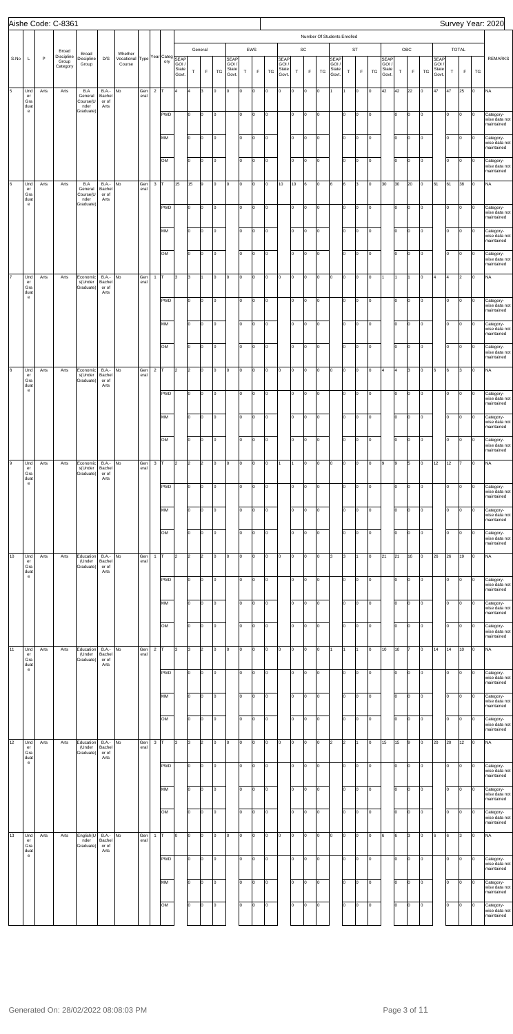|      |                                                                                            |      | Aishe Code: C-8361                       |                                  |                                         |                                                                 |             |                |            |                        |                      |                |    |                                 |            |                    |    |                                 |        |                   |           |                                      |                |                           |         |                                 |            |                    |           |                                        |     |                      |                 | Survey Year: 2020                        |
|------|--------------------------------------------------------------------------------------------|------|------------------------------------------|----------------------------------|-----------------------------------------|-----------------------------------------------------------------|-------------|----------------|------------|------------------------|----------------------|----------------|----|---------------------------------|------------|--------------------|----|---------------------------------|--------|-------------------|-----------|--------------------------------------|----------------|---------------------------|---------|---------------------------------|------------|--------------------|-----------|----------------------------------------|-----|----------------------|-----------------|------------------------------------------|
|      |                                                                                            |      |                                          |                                  |                                         |                                                                 |             |                |            |                        |                      |                |    |                                 |            |                    |    |                                 |        |                   |           | Number Of Students Enrolled          |                |                           |         |                                 |            |                    |           |                                        |     |                      |                 |                                          |
| S.No | L                                                                                          | P    | Broad<br>Discipline<br>Group<br>Category | Broad<br>Discipline<br>Group     | D/S                                     | Whether<br>Whether<br>Vocational Type Year Categ SEAP<br>Course |             |                | ory        | GOI,<br>State<br>Govt. | $\top$               | General<br>F   | TG | SEAP<br>GOI /<br>State<br>Govt. | $\top$     | EWS<br>$\mathsf F$ | TG | SEAP<br>GOI /<br>State<br>Govt. | $\top$ | SC<br>$\mathsf F$ | TG        | <b>SEAP</b><br>GOI/<br>State<br>Govt | $\top$         | <b>ST</b><br>F            | TG      | SEAP<br>GOI /<br>State<br>Govt. | $\top$     | OBC<br>$\mathsf F$ | TG        | <b>SEAP</b><br>GOI /<br>State<br>Govt. | T   | <b>TOTAL</b><br>F    | TG              | <b>REMARKS</b>                           |
| 5    | Und<br>$\mathsf{er}\,$<br>Gra                                                              | Arts | Arts                                     | B.A<br>General<br>Course(U       | <b>B.A.-</b><br>Bachel<br>or of         | No                                                              | Gen<br>eral | $\overline{2}$ | т          | 4                      | 4                    | 3              | O  | 0                               | lо         | O                  | O  | Iо                              | 0      | o                 | $\circ$   | I1.                                  |                | Iо                        | lо      | 42                              | 42         | 22                 | o         | 47                                     | 47  | 25                   | 0               | <b>NA</b>                                |
|      | duat<br>$\mathsf{e}% _{0}\left( \mathsf{e}\right)$                                         |      |                                          | nder<br>Graduate)                | Arts                                    |                                                                 |             |                | PWD        |                        | I٥                   | O.             | 0  |                                 | Iо         | lo.                | O  |                                 | I٥     | O                 | Iо        |                                      | I٥             | Iо                        | lо      |                                 | Iо         | Iо                 | o         |                                        | lo. | Iо                   | 0               | Category-<br>wise data not<br>maintained |
|      |                                                                                            |      |                                          |                                  |                                         |                                                                 |             |                | MM         |                        | I٥                   | O              | l0 |                                 | lо         | $\Omega$           | O  |                                 | I٥     | O                 | Iо        |                                      | lo             | $\mathsf{I}^{\mathsf{o}}$ | lо      |                                 | Iо         | lо                 | o         |                                        | I٥  | Iо                   | O               | Category-<br>wise data not<br>maintained |
|      |                                                                                            |      |                                          |                                  |                                         |                                                                 |             |                | OM         |                        | I٥                   | O.             | O  |                                 | $\vert$ 0  | lo.                | O  |                                 | I٥     | O                 | Iо        |                                      | I٥             | $\overline{0}$            | lо      |                                 | lo.        | Iо                 | o         |                                        | I٥  | Iо                   | 0               | Category-<br>wise data not<br>maintained |
| 6    | Und<br>$\mathsf{er}\,$<br>Gra                                                              | Arts | Arts                                     | B.A<br>General<br>Course(U       | <b>B.A.-</b><br>Bachel<br>or of         | No                                                              | Gen<br>eral | $\mathbf 3$    |            | 15                     | 15                   | 9              | O  | O                               | lо         | lo.                | o  | 10                              | 10     | 6                 | $\circ$   | 6                                    | 6              | 3                         | Iо      | 30                              | 30         | 20                 | o         | 61                                     | 61  | 38                   | 0               | <b>NA</b>                                |
|      | duat<br>$\mathsf{e}% _{0}\left( \mathsf{e}\right)$                                         |      |                                          | nder<br>Graduate)                | Arts                                    |                                                                 |             |                | PWD        |                        | I٥                   | O.             | O  |                                 | Iо         | lo.<br>$\Omega$    | O  |                                 | I٥     | O                 | Iо        |                                      | I٥<br>lo       | $\circ$                   | lо      |                                 | lo.<br>lo. | Iо                 | o         |                                        | lo. | Iо                   | O               | Category-<br>wise data not<br>maintained |
|      |                                                                                            |      |                                          |                                  |                                         |                                                                 |             |                | MM         |                        | I٥                   | O.             | l0 |                                 | lо         |                    | O  |                                 | I٥     | O                 | Iо        |                                      |                | $\overline{0}$            | lо      |                                 |            | lо                 | o         |                                        | I٥  | Iо                   | lo.             | Category-<br>wise data not<br>maintained |
|      |                                                                                            |      |                                          |                                  |                                         |                                                                 |             |                | OM         |                        | I٥                   | O.             | O  |                                 | $\vert$ 0  | lo.                | o  |                                 | I٥     | O                 | Iо        |                                      | I٥             | $\overline{0}$            | lо      |                                 | lo.        | Iо                 | o         |                                        | I٥  | Iо                   | O               | Category-<br>wise data not<br>maintained |
| l7   | Und<br>$\mathop{\mathsf{er}}$<br>Gra<br>duat<br>$\mathsf{e}% _{0}\left( \mathsf{e}\right)$ | Arts | Arts                                     | Economic<br>s(Under<br>Graduate) | <b>B.A.-</b><br>Bachel<br>or of<br>Arts | No                                                              | Gen<br>eral | $\mathbf{1}$   | т          | 3                      | Iз                   | 1              | l0 | Iо                              | lо         | lo.                | O  | lо                              | O      | O                 | $\circ$   | lо                                   | O              | Iо                        | lо      |                                 |            | I1                 | o         | 4                                      | 4   | $\vert$ <sub>2</sub> | 0               | <b>NA</b>                                |
|      |                                                                                            |      |                                          |                                  |                                         |                                                                 |             |                | PWD        |                        | I٥                   | O.             | O  |                                 | Iо         | $\Omega$           | o  |                                 | I٥     | O                 | Iо        |                                      | I٥             | Iо                        | lо      |                                 | Iо         | Iо                 | o         |                                        | lo. | Iо                   | O               | Category-<br>wise data not<br>maintained |
|      |                                                                                            |      |                                          |                                  |                                         |                                                                 |             |                | MM         |                        | I٥                   | O.             | l0 |                                 | lо         | $\Omega$           | o  |                                 | I٥     | O                 | Iо        |                                      | lo             | $\overline{0}$            | lо      |                                 | lo.        | lо                 | o         |                                        | I٥  | Iо                   | l0.             | Category-<br>wise data not<br>maintained |
|      |                                                                                            |      |                                          |                                  |                                         |                                                                 |             |                | OM         |                        | I٥                   | lo.            | O  |                                 | $\vert$ 0  | lo.                | o  |                                 | I٥     | O                 | Iо        |                                      | I٥             | $\overline{0}$            | lо      |                                 | lo.        | Iо                 | Iо        |                                        | I٥  | Iо                   | O               | Category-<br>wise data not<br>maintained |
| 8    | Und<br>er<br>Gra<br>duat                                                                   | Arts | Arts                                     | Economic<br>s(Under<br>Graduate) | <b>B.A.-</b><br>Bachel<br>or of<br>Arts | No                                                              | Gen<br>eral | $\overline{2}$ | т          | $\overline{2}$         | $\vert$ <sub>2</sub> | O              | O  | 0                               | lо         | lo.                | O  | lо                              | O      | o                 | $\circ$   | lо                                   | Iо             | Iо                        | lо      | 4                               | 4          | l3                 | o         | 6                                      | 6   | 3                    | O               | <b>NA</b>                                |
|      | $\mathbf{e}% _{t}\left( t\right)$                                                          |      |                                          |                                  |                                         |                                                                 |             |                | PWD        |                        | lo.                  | O.             | 0  |                                 | Iо         | lo.                | O  |                                 | lo.    | O                 | Iо        |                                      | I٥             | Iо                        | lо      |                                 | Iо         | lо                 | o         |                                        | lo. | 0                    | $\overline{10}$ | Category-<br>wise data not<br>maintained |
|      |                                                                                            |      |                                          |                                  |                                         |                                                                 |             |                | MM         |                        | I٥                   | lo.            | o  |                                 | lo.        | $\Omega$           | o  |                                 | I٥     | O                 | Iо        |                                      | lo             | Iо                        | lо      |                                 | Iо         | Iо                 | o         |                                        | lo. | Iо                   | 0               | Category-<br>wise data not<br>maintained |
|      |                                                                                            |      |                                          |                                  |                                         |                                                                 |             |                | OM         |                        | Iо                   | lo.            | o  |                                 | lо         | $\Omega$           | o  |                                 | I٥     | O                 | lo.       |                                      | lo             | Iо                        | Iо      |                                 | Iо         | Iо                 | o         |                                        | I٥  | Iо                   | O               | Category-<br>wise data not<br>maintained |
| l9   | Und<br>$\mathsf{er}\,$<br>Gra<br>duat                                                      | Arts | Arts                                     | Economic<br>s(Under<br>Graduate) | <b>B.A.-</b><br>Bachel<br>or of<br>Arts | No                                                              | Gen<br>eral | 3              |            | $\overline{2}$         | 2                    | $\overline{2}$ | O  | Iо                              | O          | $\Omega$           | O  | 1                               |        | O                 | Iо        | Iо                                   | O              | Iо                        | Iо      | l9                              | 9          | 5                  | lo.       | 12                                     | 12  | 17                   | O               | <b>NA</b>                                |
|      | $\mathbf{e}$                                                                               |      |                                          |                                  |                                         |                                                                 |             |                | PWD        |                        | I٥                   | lo.            | O  |                                 | I٥         | $\Omega$           | O  |                                 | I٥     | O                 | Iо        |                                      | I٥             | Iо                        | lо      |                                 | I٥         | Iо                 | O         |                                        | 10  | Iо                   | 0               | Category-<br>wise data not<br>maintained |
|      |                                                                                            |      |                                          |                                  |                                         |                                                                 |             |                | MM         |                        | Iо                   | l0             | O  |                                 | lo.        | $\Omega$           | O  |                                 | lo.    | O                 | Iо        |                                      | lo             | Iо                        | Iо      |                                 | Iо         | Iо                 | O         |                                        | I٥  | Iо                   | 0               | Category-<br>wise data not<br>maintained |
|      |                                                                                            |      |                                          |                                  |                                         |                                                                 |             |                | OM         |                        | Iо                   | lo.            | o  |                                 | lо         | $\Omega$           | o  |                                 | I٥     | O                 | Iо        |                                      | lo             | Iо                        | Iо      |                                 | Iо         | Iо                 | o         |                                        | I٥  | Iо                   | O               | Category-<br>wise data not<br>maintained |
| 10   | Und<br>$\mathsf{er}\,$<br>Gra<br>duat                                                      | Arts | Arts                                     | Education<br>(Under<br>Graduate) | <b>B.A.-</b><br>Bachel<br>or of<br>Arts | No                                                              | Gen<br>eral | $\mathbf{1}$   |            | 2                      | 2                    | $\overline{2}$ | l0 | Iо                              | O          | $\Omega$           | O  | Iо                              | o      | O                 | Iо        | l3                                   | 3              | 1                         | Iо      | 21                              | 21         | 16                 | O         | 26                                     | 26  | 19                   | O               | <b>NA</b>                                |
|      | $\mathbf{e}$                                                                               |      |                                          |                                  |                                         |                                                                 |             |                | PWD        |                        | lо                   | lo.            | O  |                                 | I٥         | $\Omega$           | O  |                                 | I٥     | O                 | Iо        |                                      | I٥             | Iо                        | lо      |                                 | I٥         | Iо                 | O         |                                        | lo. | Iо                   | 0               | Category-<br>wise data not<br>maintained |
|      |                                                                                            |      |                                          |                                  |                                         |                                                                 |             |                | MM         |                        | Iо                   | l0             | O  |                                 | lo.        | $\Omega$           | O  |                                 | I٥     | O                 | Iо        |                                      | lo             | Iо                        | Iо      |                                 | Iо         | Iо                 | o         |                                        | I٥  | Iо                   | 0               | Category-<br>wise data not<br>maintained |
|      |                                                                                            |      |                                          |                                  |                                         |                                                                 |             |                | OM         |                        | Iо                   | lo.            | o  |                                 | lo         | $\Omega$           | o  |                                 | I٥     | O                 | Iо        |                                      | lo             | Iо                        | Iо      |                                 | Iо         | Iо                 | o         |                                        | I٥  | Iо                   | O               | Category-<br>wise data not<br>maintained |
| 11   | Und<br>er<br>Gra<br>duat                                                                   | Arts | Arts                                     | Education<br>(Under<br>Graduate) | <b>B.A.-</b><br>Bachel<br>or of<br>Arts | No                                                              | Gen<br>eral | $\overline{2}$ |            | 3                      | l3                   | $\overline{2}$ | l0 | Iо                              | O          | $\Omega$           | O  | Iо                              | o      | O                 | Iо        | I1                                   |                | 1                         | Iо      | 10                              | 10         |                    | lo.       | 14                                     | 14  | 10                   | 0               | <b>NA</b>                                |
|      | $\mathbf{e}$                                                                               |      |                                          |                                  |                                         |                                                                 |             |                | PWD        |                        | lо                   | lo.            | O  |                                 | I٥         | $\Omega$           | O  |                                 | I٥     | O                 | Iо        |                                      | I٥             | Iо                        | lо      |                                 | I٥         | Iо                 | O         |                                        | lо  | Iо                   | 0               | Category-<br>wise data not<br>maintained |
|      |                                                                                            |      |                                          |                                  |                                         |                                                                 |             |                | MM         |                        | Iо                   | lo.            | O  |                                 | lo.        | $\Omega$           | O  |                                 | I٥     | O                 | Iо        |                                      | lo             | Iо                        | Iо      |                                 | Iо         | Iо                 | o         |                                        | I٥  | Iо                   | 0               | Category-<br>wise data not<br>maintained |
|      |                                                                                            |      |                                          |                                  |                                         |                                                                 |             |                | OM         |                        | Iо                   | lo.            | o  |                                 | lо         | $\Omega$           | o  |                                 | I٥     | O                 | Iо        |                                      | lo             | Iо                        | Iо      |                                 | Iо         | Iо                 | lo.       |                                        | I٥  | Iо                   | O               | Category-<br>wise data not<br>maintained |
| 12   | Und<br>er<br>Gra<br>duat                                                                   | Arts | Arts                                     | Education<br>(Under<br>Graduate) | B.A.-<br>Bachel<br>or of<br>Arts        | No                                                              | Gen<br>eral | 3              |            | 3                      | Iз                   | $\overline{2}$ | l0 | O                               | O          | $\Omega$           | O  | Iо                              | o      | O                 | Iо        | 2                                    | $\overline{2}$ | 11                        | Iо      | 15                              | 15         | l9                 | lo.       | 20                                     | 20  | 12                   | 0               | <b>NA</b>                                |
|      | $\mathsf{e}% _{0}\left( \mathsf{e}\right)$                                                 |      |                                          |                                  |                                         |                                                                 |             |                | PWD        |                        | lо                   | lo.            | O  |                                 | Iо         | $\Omega$           | O  |                                 | I٥     | O                 | Iо        |                                      | I٥             | Iо                        | Iо      |                                 | Iо         | Iо                 | O         |                                        | lo. | Iо                   | O               | Category-<br>wise data not<br>maintained |
|      |                                                                                            |      |                                          |                                  |                                         |                                                                 |             |                | MM         |                        | $\overline{\circ}$   | $\vert$ 0      | Iо |                                 | $\sqrt{0}$ | $\overline{0}$     | o  |                                 | lo.    | O                 | $\vert$ 0 |                                      | lо             | $\vert$ 0                 | $\circ$ |                                 | lо         | $\circ$            | $\vert$ 0 |                                        | lo. | $\circ$              | $\circ$         | Category-<br>wise data not<br>maintained |
|      |                                                                                            |      |                                          |                                  |                                         |                                                                 |             |                | OM         |                        | lo.                  | lo.            | O  |                                 | lo         | lo.                | O  |                                 | I٥     | O                 | Iо        |                                      | I٥             | $\overline{0}$            | lо      |                                 | lo.        | Iо                 | Iо        |                                        | I٥  | Iо                   | I٥              | Category-<br>wise data not<br>maintained |
| 13   | Und<br>er<br>Gra<br>duat<br>$\mathbf{e}$                                                   | Arts | Arts                                     | English(U<br>nder<br>Graduate)   | <b>B.A.-</b><br>Bachel<br>or of<br>Arts | No                                                              | Gen<br>eral | $\mathbf{1}$   | т          | lo.                    | Iо                   | lo.            | 0  | Iо                              | lo.        | $\Omega$           | l0 | lо                              | o      | O                 | Iо        | Iо                                   | l0             | $\circ$                   | Iо      | 6                               | l6         | l3                 | lo.       | l6.                                    | 6   | 3                    | O               | <b>NA</b>                                |
|      |                                                                                            |      |                                          |                                  |                                         |                                                                 |             |                | <b>PWD</b> |                        | lо                   | lo.            | O  |                                 | Iо         | $\Omega$           | O  |                                 | I٥     | O                 | Iо        |                                      | I٥             | Iо                        | lо      |                                 | Iо         | Iо                 | O         |                                        | lo. | Iо                   | O               | Category-<br>wise data not<br>maintained |
|      |                                                                                            |      |                                          |                                  |                                         |                                                                 |             |                | MM         |                        | lо                   | lo.            | O  |                                 | lо         | $\Omega$           | O  |                                 | I٥     | O                 | Iо        |                                      | I٥             | $\circ$                   | Iо      |                                 | I٥         | Iо                 | O         |                                        | I٥  | Iо                   | l0.             | Category-<br>wise data not<br>maintained |
|      |                                                                                            |      |                                          |                                  |                                         |                                                                 |             |                | OM         |                        | lo.                  | lo.            | O  |                                 | lо         | $\Omega$           | o  |                                 | I٥     | O                 | Iо        |                                      | lo             | Iо                        | Iо      |                                 | Iо         | Iо                 | O         |                                        | I٥  | Iо                   | l0              | Category-<br>wise data not<br>maintained |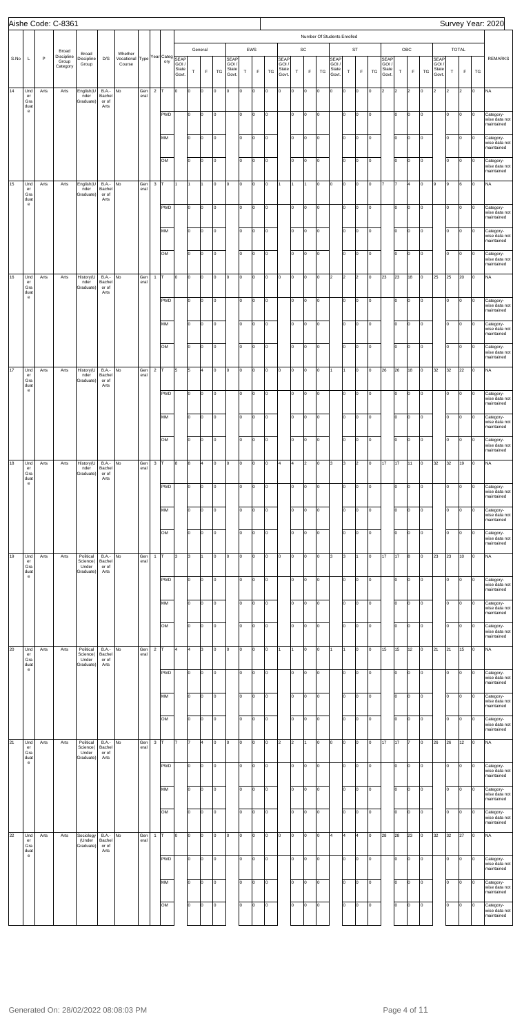|      |                                                                 |              | Aishe Code: C-8361                       |                                             |                                         |                                                      |             |                |            |                         |           |                        |                |                                        |         |                    |         |                                        |                |                              |         |                                                                      |          |                          |                |                                       |                      |                      |        |                                       |                      |                      |          | Survey Year: 2020                                      |
|------|-----------------------------------------------------------------|--------------|------------------------------------------|---------------------------------------------|-----------------------------------------|------------------------------------------------------|-------------|----------------|------------|-------------------------|-----------|------------------------|----------------|----------------------------------------|---------|--------------------|---------|----------------------------------------|----------------|------------------------------|---------|----------------------------------------------------------------------|----------|--------------------------|----------------|---------------------------------------|----------------------|----------------------|--------|---------------------------------------|----------------------|----------------------|----------|--------------------------------------------------------|
| S.No | L                                                               | $\mathsf{P}$ | Broad<br>Discipline<br>Group<br>Category | Broad<br>Discipline<br>Group                | D/S                                     | Whether<br>Vocational Type Year Categ SEAP<br>Course |             |                | ory        | GOI /<br>State<br>Govt. | $\top$    | General<br>$\mathsf F$ | TG             | <b>SEAP</b><br>GOI /<br>State<br>Govt. | $\top$  | EWS<br>$\mathsf F$ | TG      | <b>SEAP</b><br>GOI /<br>State<br>Govt. | $\top$         | $\mathsf{SC}$<br>$\mathsf F$ | TG      | Number Of Students Enrolled<br><b>SEAP</b><br>GOI/<br>State<br>Govt. | $\top$   | <b>ST</b><br>$\mathsf F$ | TG             | <b>SEAP</b><br>GOI/<br>State<br>Govt. | $\top$               | OBC<br>F             | TG     | <b>SEAP</b><br>GOI/<br>State<br>Govt. | $\mathsf T$          | TOTAL<br>$\mathsf F$ | TG       | <b>REMARKS</b>                                         |
| 14   | Und<br>er<br>Gra<br>duat<br>$\mathbf{e}$                        | Arts         | Arts                                     | English(U<br>nder<br>Graduate)              | <b>B.A.-</b><br>Bachel<br>or of<br>Arts | No                                                   | Gen<br>eral | $\overline{2}$ | <b>PWD</b> | ln.                     | Iо<br>lо  | o<br>lo.               | O<br>O         | lо                                     | o<br>I٥ | l0<br>l0           | o<br>Iо | l0                                     | O<br>lо        | O<br>O                       | O<br>lо | O                                                                    | O<br>lo. | O<br>Iо                  | O<br>Iо        | 2                                     | $\overline{2}$<br>I٥ | $\overline{2}$<br>Iо | O<br>O | $\overline{2}$                        | I <sub>2</sub><br>lо | $\overline{2}$<br>O  | Iо<br>Iо | <b>NA</b><br>Category-                                 |
|      |                                                                 |              |                                          |                                             |                                         |                                                      |             |                |            |                         |           |                        |                |                                        |         |                    |         |                                        |                |                              |         |                                                                      |          |                          |                |                                       |                      |                      |        |                                       |                      |                      |          | wise data not<br>maintained                            |
|      |                                                                 |              |                                          |                                             |                                         |                                                      |             |                | MM         |                         | lо        | o                      | $\overline{0}$ |                                        | I٥      | Iо                 | Iо      |                                        | Iо             | O                            | lо      |                                                                      | I٥       | $\vert 0 \vert$          | Iо             |                                       | Iо                   | Iо                   | O      |                                       | lо                   | lо                   | l0       | Category-<br>wise data not<br>maintained               |
|      |                                                                 |              |                                          |                                             |                                         |                                                      |             |                | OM         |                         | I٥        | o                      | O              |                                        | lo.     | Iо                 | Iо      |                                        | Iо             | O                            | lо      |                                                                      | I٥       | Iо                       | Iо             |                                       | lо                   | Iо                   | O      |                                       | lо                   | lо                   | Iо       | Category-<br>wise data not<br>maintained               |
| 15   | Und<br>er<br>Gra<br>duat                                        | Arts         | Arts                                     | English(U<br>nder<br>Graduate)              | <b>B.A.-</b><br>Bachel<br>or of<br>Arts | No                                                   | Gen<br>eral | $\mathbf 3$    |            |                         | I1        |                        | O              | lо                                     | o       | l0                 | 0       |                                        |                |                              | O       | O                                                                    | O        | 0                        | Iо             |                                       |                      | l4                   | O      | 9                                     | l9                   | l6                   | l0       | <b>NA</b>                                              |
|      | $\mathsf{e}% _{0}\left( \mathsf{e}\right)$                      |              |                                          |                                             |                                         |                                                      |             |                | <b>PWD</b> |                         | lо        | o                      | O              |                                        | I٥      | l0                 | Iо      |                                        | lо             | O                            | lо      |                                                                      | lo.      | Iо                       | O              |                                       | l٥                   | Iо                   | O      |                                       | lо                   | O                    | Iо       | Category-<br>wise data not<br>maintained               |
|      |                                                                 |              |                                          |                                             |                                         |                                                      |             |                | MM         |                         | lо        | o                      | O              |                                        | I٥      | l0                 | Iо      |                                        | I٥             | O                            | O       |                                                                      | I٥       | Iо                       | Iо             |                                       | Iо                   | Iо                   | O      |                                       | lо                   | O                    | l0       | Category-<br>wise data not<br>maintained               |
|      |                                                                 |              |                                          |                                             |                                         |                                                      |             |                | OM         |                         | Iо        | lo.                    | O              |                                        | lо      | l0                 | Iо      |                                        | lо             | O                            | O       |                                                                      | lo.      | Iо                       | Iо             |                                       | Iо                   | Iо                   | O      |                                       | lо                   | O                    | Iо       | Category-<br>wise data not<br>maintained               |
| 16   | Und<br>er<br>Gra                                                | Arts         | Arts                                     | History(U<br>nder<br>Graduate)              | <b>B.A.-</b><br>Bachel<br>or of         | No                                                   | Gen<br>eral | $\mathbf{1}$   |            | l0                      | Iо        | o                      | O              | lо                                     | o       | l0                 | Iо      | O                                      | o              | O                            | lо      | $\overline{2}$                                                       | 2        | 2                        | Iо             | 23                                    | 23                   | 18                   | O      | 25                                    | 25                   | 20                   | Iо       | <b>NA</b>                                              |
|      | duat<br>$\mathsf{e}% _{0}\left( \mathsf{e}\right)$              |              |                                          |                                             | Arts                                    |                                                      |             |                | <b>PWD</b> |                         | Iо        | o                      | O              |                                        | lo.     | l0                 | O       |                                        | lо             | O                            | lо      |                                                                      | lo.      | Iо                       | Iо             |                                       | I٥                   | lо                   | O      |                                       | lо                   | O                    | Iо       | Category-<br>wise data not<br>maintained               |
|      |                                                                 |              |                                          |                                             |                                         |                                                      |             |                | MM         |                         | Iо        | o                      | O              |                                        | lо      | O                  | Iо      |                                        | I٥             | O                            | lо      |                                                                      | I٥       | Iо                       | Iо             |                                       | Iо                   | Iо                   | O      |                                       | Iо                   | O                    | l0       | Category-<br>wise data not<br>maintained               |
|      |                                                                 |              |                                          |                                             |                                         |                                                      |             |                | OM         |                         | I٥        | o                      | O              |                                        | lo.     | Iо                 | Iо      |                                        | lо             | O                            | lо      |                                                                      | I٥       | Iо                       | Iо             |                                       | Iо                   | Iо                   | o      |                                       | lо                   | lо                   | Iо       | Category-<br>wise data not                             |
| 17   | Und<br>er                                                       | Arts         | Arts                                     | History(U<br>nder                           | <b>B.A.-</b><br>Bachel                  | No                                                   | Gen<br>eral | $\overline{2}$ |            | 5                       | 5         | 4                      | Iо             | lо                                     | O       | lo.                | Iо      | O                                      | O              | O                            | lо      |                                                                      |          | Iо                       | Iо             | 26                                    | 26                   | 18                   | O      | 32                                    | 32                   | 22                   | Iо       | maintained<br><b>NA</b>                                |
|      | Gra<br>duat<br>$\mathsf{e}% _{0}\left( t\right)$                |              |                                          | Graduate)                                   | or of<br>Arts                           |                                                      |             |                | PWD        |                         | lo.       | O                      | Iо             |                                        | lo.     | lо                 | O       |                                        | lо             | O                            | O       |                                                                      | lo.      | Iо                       | $\overline{0}$ |                                       | I٥                   | lо                   | O      |                                       | lо                   | o                    | Iо       | Category-<br>wise data not                             |
|      |                                                                 |              |                                          |                                             |                                         |                                                      |             |                | MM         |                         | Ιo        | lo.                    | O              |                                        | I٥      | l0                 | o       |                                        | I٥             | O                            | o       |                                                                      | I٥       | Iо                       | Iо             |                                       | lo.                  | lо                   | O      |                                       | lо                   | O                    | O        | maintained<br>Category-<br>wise data not               |
|      |                                                                 |              |                                          |                                             |                                         |                                                      |             |                | OM         |                         | Ιo        | lo.                    | lo.            |                                        | I٥      | l0                 | l0      |                                        | Iо             | O                            | lo.     |                                                                      | I٥       | Iо                       | O              |                                       | lo.                  | Iо                   | lo.    |                                       | lо                   | O                    | Iо       | maintained<br>Category-<br>wise data not               |
| 18   | Und                                                             | Arts         | Arts                                     | History(U                                   | <b>B.A.-</b>                            | No                                                   | Gen         | $\mathbf{3}$   |            | 8                       | 8         | l4                     | O              | Iо                                     | o       | l0                 | 0       | ١4                                     | $\overline{4}$ | $\overline{2}$               | lо      | 3                                                                    | 3        | $\vert$ <sub>2</sub>     | Iо             | 17                                    | 17                   | 11                   | O      | 32                                    | 32                   | 19                   | Iо       | maintained<br><b>NA</b>                                |
|      | er<br>Gra<br>duat<br>$\mathsf{e}% _{0}\left( \mathsf{e}\right)$ |              |                                          | nder<br>Graduate)                           | Bachel<br>or of<br>Arts                 |                                                      | eral        |                | PWD        |                         | lо        | lo.                    | o              |                                        | I٥      | l0                 | Iо      |                                        | lо             | O                            | O       |                                                                      | lo.      | Iо                       | Iо             |                                       | l٥                   | Iо                   | O      |                                       | Iо                   | o                    | O        | Category-<br>wise data not                             |
|      |                                                                 |              |                                          |                                             |                                         |                                                      |             |                | MM         |                         | Ιo        | l0                     | o              |                                        | I٥      | I٥                 | lo      |                                        | I٥             | O                            | o       |                                                                      | I٥       | Iо                       | O              |                                       | I٥                   | O                    | O      |                                       | lо                   | O                    | I٥       | maintained<br>Category-                                |
|      |                                                                 |              |                                          |                                             |                                         |                                                      |             |                | OM         |                         | lо        | lo.                    | o              |                                        | I٥      | l0                 | o       |                                        | Iо             | O                            | o       |                                                                      | I٥       | Iо                       | O              |                                       | lo.                  | Iо                   | lo.    |                                       | lо                   | O                    | Iо       | wise data not<br>maintained<br>Category-               |
| 19   | Und                                                             | Arts         | Arts                                     | Political                                   | <b>B.A.-</b>                            | No                                                   | Gen         | $\mathbf{1}$   |            | lз                      | l3        |                        | O              | lо                                     | o       | l0                 | o       | O                                      | O              | O                            | lо      | 3                                                                    | 3        | 11                       | O              | 17                                    | 17                   | 8                    | l0     | 23                                    | 23                   | 10                   | Iо       | wise data not<br>maintained<br><b>NA</b>               |
|      | er<br>Gra<br>duat<br>$\mathsf{e}% _{0}\left( t\right)$          |              |                                          | Science(<br>Under<br>Graduate)              | Bachel<br>or of<br>Arts                 |                                                      | eral        |                |            |                         |           |                        |                |                                        |         |                    |         |                                        |                |                              |         |                                                                      |          |                          |                |                                       |                      |                      |        |                                       |                      |                      |          |                                                        |
|      |                                                                 |              |                                          |                                             |                                         |                                                      |             |                | <b>PWD</b> |                         | lо        | lo.                    | o              |                                        | I٥      | l0                 | O       |                                        | lо             | O                            | O       |                                                                      | lo.      | Iо                       | lо             |                                       | l٥                   | Iо                   | O      |                                       | Iо                   | o                    | O        | Category-<br>wise data not<br>maintained               |
|      |                                                                 |              |                                          |                                             |                                         |                                                      |             |                | MM         |                         | Ιo        | lo.                    | o              |                                        | I٥      | l٥                 | o       |                                        | I٥             | O                            | o       |                                                                      | I٥       | Iо                       | Iо             |                                       | Iо                   | O                    | O      |                                       | lо                   | O                    | I٥       | Category-<br>wise data not<br>maintained               |
|      |                                                                 |              |                                          |                                             |                                         |                                                      |             |                | OM         |                         | lо        | lo.                    | o              |                                        | I٥      | l0                 | o       |                                        | Iо             | O                            | l0      |                                                                      | I٥       | Iо                       | O              |                                       | lo.                  | Iо                   | lo.    |                                       | lо                   | O                    | Iо       | Category-<br>wise data not<br>maintained               |
| 20   | Und<br>er<br>Gra<br>duat                                        | Arts         | Arts                                     | Political<br>Science(<br>Under<br>Graduate) | <b>B.A.-</b><br>Bachel<br>or of<br>Arts | No                                                   | Gen<br>eral | $\overline{2}$ |            |                         | 4         | 3                      | O              | lо                                     | o       | l0                 | 0       |                                        |                | O                            | l0      |                                                                      |          | Iо                       | Iо             | 15                                    | 15                   | 12                   | O      | 21                                    | 21                   | 15                   | Iо       | <b>NA</b>                                              |
|      | $\mathsf{e}% _{0}\left( \mathsf{e}\right)$                      |              |                                          |                                             |                                         |                                                      |             |                | <b>PWD</b> |                         | Iо        | lo.                    | o              |                                        | I٥      | I٥                 | Iо      |                                        | lо             | O                            | O       |                                                                      | lo.      | Iо                       | Iо             |                                       | ln.                  | Iо                   | O      |                                       | Iо                   | o                    | O        | Category-<br>wise data not<br>maintained               |
|      |                                                                 |              |                                          |                                             |                                         |                                                      |             |                | MM         |                         | Ιo        | lo.                    | o              |                                        | I٥      | I٥                 | o       |                                        | I٥             | O                            | lo.     |                                                                      | lo.      | Iо                       | Iо             |                                       | I٥                   | O                    | O      |                                       | lо                   | O                    | I٥       | Category-<br>wise data not<br>maintained               |
|      |                                                                 |              |                                          |                                             |                                         |                                                      |             |                | OM         |                         | Iо        | lo.                    | o              |                                        | I٥      | l0                 | l0      |                                        | Iо             | O                            | lo.     |                                                                      | I٥       | Iо                       | O              |                                       | Iо                   | Iо                   | lo.    |                                       | lо                   | O                    | Iо       | Category-<br>wise data not<br>maintained               |
| 21   | Und<br>er<br>Gra                                                | Arts         | Arts                                     | Political<br>Science(<br>Under              | <b>B.A.-</b><br>Bachel<br>or of         | No                                                   | Gen<br>eral | $\mathbf 3$    |            |                         |           | l4                     | O              | lо                                     | o       | l0                 | 0       | $\overline{2}$                         | 2              |                              | l0      | O                                                                    | O        | Iо                       | Iо             | 17                                    | 17                   | l7                   | l0     | 26                                    | 26                   | 12                   | Iо       | <b>NA</b>                                              |
|      | duat<br>$\mathsf{e}% _{0}\left( \mathsf{e}\right)$              |              |                                          | Graduate)                                   | Arts                                    |                                                      |             |                | <b>PWD</b> |                         | Iо        | lo.                    | O              |                                        | I٥      | l0                 | Iо      |                                        | lо             | O                            | Iо      |                                                                      | lo.      | Iо                       | O              |                                       | l٥                   | Iо                   | O      |                                       | Iо                   | o                    | O        | Category-<br>wise data not<br>maintained               |
|      |                                                                 |              |                                          |                                             |                                         |                                                      |             |                | MM         |                         | $\vert$ 0 | O                      | Iо             |                                        | lo.     | O                  | O       |                                        | lo.            | O                            | Iо      |                                                                      | 0        | $\circ$                  | Iо             |                                       | $ 0\rangle$          | lо                   | O      |                                       | lо                   | lо                   | $\circ$  | Category-<br>wise data not                             |
|      |                                                                 |              |                                          |                                             |                                         |                                                      |             |                | OM         |                         | Iо        | lo.                    | O              |                                        | lо      | l0                 | Iо      |                                        | lо             | O                            | Iо      |                                                                      | lo.      | Iо                       | Iо             |                                       | Iо                   | Iо                   | o      |                                       | lо                   | O                    | l0       | maintained<br>Category-<br>wise data not<br>maintained |
| 22   | Und<br>er<br>Gra                                                | Arts         | Arts                                     | Sociology<br>(Under<br>Graduate)            | <b>B.A.-</b><br>Bachel<br>or of         | No                                                   | Gen<br>eral | $\mathbf{1}$   |            | l0.                     | Iо        | l0                     | O              | O                                      | o       | I٥                 | 0       | l0                                     | O              | O                            | l0.     | 4                                                                    | 4        | 4                        | o              | 28                                    | 28                   | 23                   | l0     | 32                                    | 32                   | 27                   | l0       | <b>NA</b>                                              |
|      | duat<br>$\mathbf{e}$                                            |              |                                          |                                             | Arts                                    |                                                      |             |                | PWD        |                         | lо        | lo.                    | o              |                                        | I٥      | l0                 | 0       |                                        | lо             | O                            | Iо      |                                                                      | lo.      | Iо                       | O              |                                       | I٥                   | Iо                   | l0     |                                       | Iо                   | O                    | Iо       | Category-<br>wise data not                             |
|      |                                                                 |              |                                          |                                             |                                         |                                                      |             |                | MM         |                         | Ιo        | l0                     | O              |                                        | lо      | l0                 | 0       |                                        | Iо             | O                            | Iо      |                                                                      | I٥       | Iо                       | Iо             |                                       | lo.                  | Iо                   | l0     |                                       | lо                   | o                    | I٥       | maintained<br>Category-<br>wise data not               |
|      |                                                                 |              |                                          |                                             |                                         |                                                      |             |                | OM         |                         | lо        | lo.                    | o              |                                        | lo.     | I٥                 | Iо      |                                        | lо             | O                            | O       |                                                                      | lo.      | Iо                       | O              |                                       | lo.                  | Iо                   | O      |                                       | lо                   | O                    | l0       | maintained<br>Category-<br>wise data not               |
|      |                                                                 |              |                                          |                                             |                                         |                                                      |             |                |            |                         |           |                        |                |                                        |         |                    |         |                                        |                |                              |         |                                                                      |          |                          |                |                                       |                      |                      |        |                                       |                      |                      |          | maintained                                             |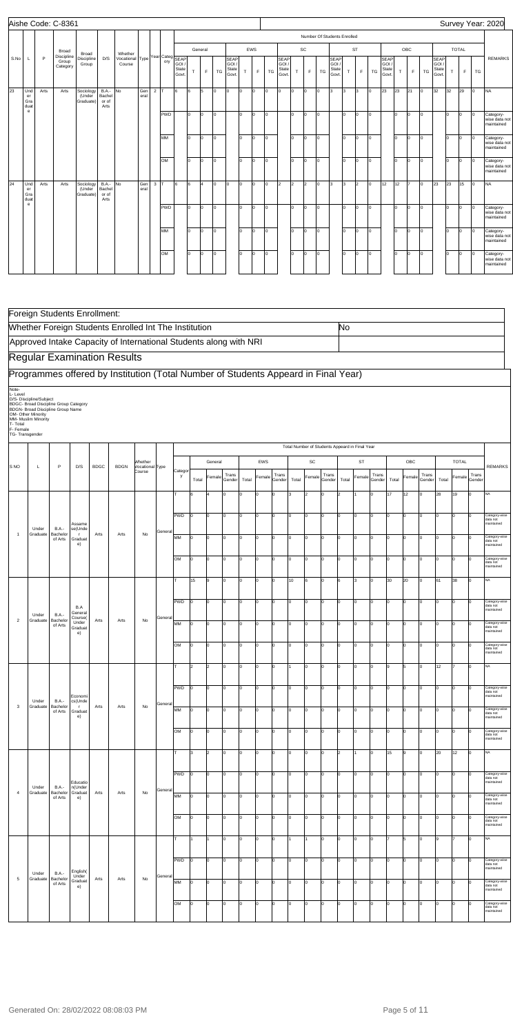| Aishe Code: C-8361 |                               |      |                                 |                                  |                                            |                                      |             |            |                   |                         |     |                |     |                                        |                           |     |     |                                        |     |                |     |                                       |     |           |     |                                       |              |     |     |                                        |     | Survey Year: 2020 |     |                                          |
|--------------------|-------------------------------|------|---------------------------------|----------------------------------|--------------------------------------------|--------------------------------------|-------------|------------|-------------------|-------------------------|-----|----------------|-----|----------------------------------------|---------------------------|-----|-----|----------------------------------------|-----|----------------|-----|---------------------------------------|-----|-----------|-----|---------------------------------------|--------------|-----|-----|----------------------------------------|-----|-------------------|-----|------------------------------------------|
|                    |                               |      |                                 |                                  |                                            |                                      |             |            |                   |                         |     |                |     |                                        |                           |     |     |                                        |     |                |     | Number Of Students Enrolled           |     |           |     |                                       |              |     |     |                                        |     |                   |     |                                          |
|                    |                               |      | Broad                           | Broad                            |                                            |                                      |             |            |                   |                         |     | General        |     |                                        |                           | EWS |     |                                        |     | SC             |     |                                       |     | <b>ST</b> |     |                                       |              | OBC |     |                                        |     | <b>TOTAL</b>      |     |                                          |
| S.No               | L                             | P    | Discipline<br>Group<br>Category | Discipline<br>Group              | D/S                                        | Whether<br>Vocational Type<br>Course |             |            | Year Categ<br>ory | GOI /<br>State<br>Govt. | T.  | E              | TG  | <b>SEAP</b><br>GOI /<br>State<br>Govt. | T.                        | F.  | TG  | <b>SEAP</b><br>GOI /<br>State<br>Govt. | T.  | $\mathsf F$    | TG  | <b>SEAP</b><br>GOI/<br>State<br>Govt. | T.  | E         | TG  | <b>SEAP</b><br>GOI/<br>State<br>Govt. | $\mathsf{T}$ | F.  | TG  | <b>SEAP</b><br>GOI /<br>State<br>Govt. | T.  | F                 | TG  | <b>REMARKS</b>                           |
| 23                 | Und<br>er<br>Gra<br>duat<br>e | Arts | Arts                            | Sociology<br>(Under<br>Graduate) | <b>B.A.-</b> No<br>Bachel<br>or of<br>Arts |                                      | Gen<br>eral | $2 \mid T$ |                   | l6                      | 6   | 5              | lo. | Iо                                     | lo.                       | Iо  | l0  | Iо                                     | lo. | O              | Io. | lз                                    | 3   | 3         | lo. | 23                                    | 23           | 21  | Io. | 32                                     | 32  | 29                | l0  | <b>NA</b>                                |
|                    |                               |      |                                 |                                  |                                            |                                      |             |            | <b>PWD</b>        |                         | I٥  | lo.            | lo. |                                        | lo                        | Iо  | Iо  |                                        | lo. | O              | Iо  |                                       | lo. | lo.       | lo. |                                       | Iо           | lo. | Iо  |                                        | lo. | lo.               | lo. | Category-<br>wise data not<br>maintained |
|                    |                               |      |                                 |                                  |                                            |                                      |             |            | MM                |                         | l٥  | lo.            | lo. |                                        | I٥                        | I٥  | lo. |                                        | lo. | lo.            | Io. |                                       | lo. | lo.       | lo. |                                       | lo.          | I0. | I0. |                                        | I٥  | lo.               | Iо  | Category-<br>wise data not<br>maintained |
|                    |                               |      |                                 |                                  |                                            |                                      |             |            | OM                |                         | I٥  | lo.            | lo. |                                        | lo.                       | lo. | lo. |                                        | lo. | $\overline{0}$ | Io. |                                       | lo. | lo.       | lo. |                                       | lo.          | lo. | lo. |                                        | lo. | lo.               | Iо  | Category-<br>wise data not<br>maintained |
| 24                 | Und<br>er<br>Gra<br>duat      | Arts | Arts                            | Sociology<br>(Under<br>Graduate) | $B.A.-$ No<br>Bachel<br>or of<br>Arts      |                                      | Gen<br>eral | $3$ T      |                   | l6                      | 6   | $\overline{4}$ | lo. | Iо                                     | $\mathsf{I}^{\mathsf{O}}$ | lo. | Iо  | $\vert$ <sub>2</sub>                   | 2   | l2             | lo. | l3                                    | Iз  | l2        | lo. | 12                                    | 12           |     | lo. | 23                                     | 23  | 15                | Iо  | <b>NA</b>                                |
|                    | e                             |      |                                 |                                  |                                            |                                      |             |            | PWD               |                         | I٥  | lo.            | lo. |                                        | I٥                        | lo. | Iо  |                                        | lo. | lo.            | Io. |                                       | lo. | lo.       | lo. |                                       | I٥           | lo. | Io. |                                        | I٥  | lo.               | Iо  | Category-<br>wise data not<br>maintained |
|                    |                               |      |                                 |                                  |                                            |                                      |             |            | MM                |                         | lo. | lo.            | lo. |                                        | I٥                        | I٥  | lo. |                                        | lo. | O              | Io. |                                       | I٥  | lo.       | lo. |                                       | lo.          | lo. | lo. |                                        | lo. | lo.               | Iо  | Category-<br>wise data not<br>maintained |
|                    |                               |      |                                 |                                  |                                            |                                      |             |            | OM                |                         | l٥  | lo.            | lo. |                                        | lo.                       | Iо  | Iо  |                                        | lo. | O              | Iо  |                                       | Ιo  | lo.       | lo. |                                       | lo.          | lo. | Iо  |                                        | lo. | lo.               | Iо  | Category-<br>wise data not<br>maintained |

|                                                              | Foreign Students Enrollment:                                                                                                                       |                                     |                                          |             |                                                                                    |                           |         |              |                         |                |                 |       |          |                 |       |                |                                                |                |                |                 |       |                |                 |       |                |                 |                                         |
|--------------------------------------------------------------|----------------------------------------------------------------------------------------------------------------------------------------------------|-------------------------------------|------------------------------------------|-------------|------------------------------------------------------------------------------------|---------------------------|---------|--------------|-------------------------|----------------|-----------------|-------|----------|-----------------|-------|----------------|------------------------------------------------|----------------|----------------|-----------------|-------|----------------|-----------------|-------|----------------|-----------------|-----------------------------------------|
|                                                              |                                                                                                                                                    |                                     |                                          |             | Whether Foreign Students Enrolled Int The Institution                              |                           |         |              |                         |                |                 |       |          |                 |       |                |                                                | No             |                |                 |       |                |                 |       |                |                 |                                         |
|                                                              |                                                                                                                                                    |                                     |                                          |             | Approved Intake Capacity of International Students along with NRI                  |                           |         |              |                         |                |                 |       |          |                 |       |                |                                                |                |                |                 |       |                |                 |       |                |                 |                                         |
|                                                              |                                                                                                                                                    |                                     |                                          |             | <b>Regular Examination Results</b>                                                 |                           |         |              |                         |                |                 |       |          |                 |       |                |                                                |                |                |                 |       |                |                 |       |                |                 |                                         |
|                                                              |                                                                                                                                                    |                                     |                                          |             | Programmes offered by Institution (Total Number of Students Appeard in Final Year) |                           |         |              |                         |                |                 |       |          |                 |       |                |                                                |                |                |                 |       |                |                 |       |                |                 |                                         |
| Note-<br>L-Level<br>T- Total<br>F- Female<br>TG- Transgender | D/S- Discipline/Subject<br>BDGC- Broad Discipline Group Category<br>BDGN- Broad Discipline Group Name<br>OM- Other Minority<br>MM- Muslim Minority |                                     |                                          |             |                                                                                    |                           |         |              |                         |                |                 |       |          |                 |       |                |                                                |                |                |                 |       |                |                 |       |                |                 |                                         |
|                                                              |                                                                                                                                                    |                                     |                                          |             |                                                                                    | Whether                   |         |              |                         | General        |                 |       | EWS      |                 |       | SC             | Total Number of Students Appeard in Final Year |                | <b>ST</b>      |                 |       | OBC            |                 |       | <b>TOTAL</b>   |                 |                                         |
| S <sub>NO</sub>                                              | L                                                                                                                                                  | P                                   | D/S                                      | <b>BDGC</b> | <b>BDGN</b>                                                                        | Vocational Type<br>Course |         | Categor<br>у | Total                   | Female         | Trans<br>Gender | Total | Female   | Trans<br>Gender | Total | Female         | Trans<br>Gender                                | Total          | Female         | Trans<br>Gender | Total | Female         | Trans<br>Gender | Total | Female         | Trans<br>Gender | <b>REMARKS</b>                          |
|                                                              |                                                                                                                                                    |                                     |                                          |             |                                                                                    |                           |         | т            |                         |                | O               |       | $\Omega$ |                 | l3    | $\overline{2}$ | Iо                                             |                |                | $\Omega$        | 17    | 12             |                 | 28    | 19             | 0               | NA                                      |
|                                                              |                                                                                                                                                    |                                     |                                          |             |                                                                                    |                           |         | PWD          | lo                      | $\mathbf 0$    | lo.             | I٥    | I٥       | I٥              | I٥    | O              | Iо                                             | o              | O              | $\Omega$        | lo.   | 0              | 0               | I٥    | $\overline{0}$ | $\Omega$        | Category-wise                           |
|                                                              | Under                                                                                                                                              | <b>B.A.-</b>                        | Assame<br>se(Unde                        |             |                                                                                    |                           | General |              |                         |                |                 |       |          |                 |       |                |                                                |                |                |                 |       |                |                 |       |                |                 | data not<br>maintained                  |
| $\overline{1}$                                               | Graduate                                                                                                                                           | Bachelor<br>of Arts                 | $\mathsf T$<br>Graduat<br>e)             | Arts        | Arts                                                                               | No                        |         | MM           | 0                       | 0              | I٥              | I٥    | O        | Iо              | I٥    | 0              | Iо                                             | lо             | O              | $\mathbf 0$     | I٥    | 0              | 0               | I٥    | 0              | <sup>0</sup>    | Category-wise<br>data not<br>maintained |
|                                                              |                                                                                                                                                    |                                     |                                          |             |                                                                                    |                           |         | OM           | O                       | 0              | lo.             | I٥    | lo       | Iо              | I٥    | lo             | lо                                             | I٥             | 0              | lо              | I٥    | 0              | 0               | Iо    | O              | <sup>0</sup>    | Category-wis<br>data not<br>maintained  |
|                                                              |                                                                                                                                                    |                                     |                                          |             |                                                                                    |                           |         | т            | 15                      | 9              | I٥              | Iо    | lo       | I٥              | 10    | 6              | Iо                                             | 6              | l3             | 0               | 30    | 20             | 0               | 61    | 38             | Iо              | NA                                      |
|                                                              | Under                                                                                                                                              | <b>B.A.-</b>                        | B.A<br>General                           |             |                                                                                    |                           |         | PWD          | $\Omega$                | $\mathbf 0$    | I٥              | I٥    | l0       | Iо              | I٥    | 0              | Iо                                             | 10             | O              | $\mathbf 0$     | I٥    | 0              | 0               | lo    | 0              | $\Omega$        | Category-wise<br>data not<br>maintainec |
| $\overline{2}$                                               | Graduate                                                                                                                                           | Bachelor<br>of Arts                 | Course(<br>Under<br>Graduat<br>e)        | Arts        | Arts                                                                               | No                        | General | MM           | I٥                      | 0              | Iо              | I٥    | lo       | I٥              | I٥    | O              | lо                                             | o              | l <sub>0</sub> | $\Omega$        | I٥    | $\Omega$       | 0               | lо    | O              |                 | Category-wise<br>data not<br>maintaineo |
|                                                              |                                                                                                                                                    |                                     |                                          |             |                                                                                    |                           |         | OM           | lo                      | O              | lo.             | I٥    | lo       | I٥              | I٥    | $\overline{0}$ | Iо                                             | o              | O              | $\Omega$        | I٥    | $\overline{0}$ | 0               | Iо    | 0              | <sup>n</sup>    | Category-wise<br>data not<br>maintained |
|                                                              |                                                                                                                                                    |                                     |                                          |             |                                                                                    |                           |         | т            | $\overline{\mathbf{c}}$ | $\overline{2}$ | Iо              | l٥    | l0       | I٥              |       | 0              | Iо                                             | ١o             | I٥             | $\mathbf 0$     | 9     | 5              | 0               | 12    |                | $\Omega$        | NA                                      |
|                                                              |                                                                                                                                                    |                                     | Economi                                  |             |                                                                                    |                           |         | PWD          | O                       | 0              | lo.             | I٥    | lo       | Iо              | I٥    | $\overline{0}$ | 0                                              | lo.            | 0              | $\mathbf 0$     | I٥    | $\overline{0}$ | 0               | lo.   | $\overline{0}$ | 10              | Category-wise<br>data not<br>maintained |
| 3                                                            | Under<br>Graduate                                                                                                                                  | <b>B.A.-</b><br>Bachelor<br>of Arts | cs(Unde<br>$\mathbf{r}$<br>Graduat<br>e) | Arts        | Arts                                                                               | No                        | General | MM           | I٥                      | 0              | Iо              | I٥    | I٥       | Iо              | lo.   | lo             | Iо                                             | I٥             | lo.            | lо              | I٥    | $\overline{0}$ | 0               | Iо    | O              | lо              | Category-wise<br>data not<br>maintained |
|                                                              |                                                                                                                                                    |                                     |                                          |             |                                                                                    |                           |         | OM           | $\Omega$                | 0              | Iо              | l0.   | l0       | Iо              | I٥    | $\mathbf 0$    | Iо                                             | 10             | 0              | $\mathbf 0$     | I٥    | 0              | 0               | I٥    | 0              | Iо              | Category-wise<br>data not<br>maintained |
|                                                              |                                                                                                                                                    |                                     |                                          |             |                                                                                    |                           |         | T            | 3                       | $\overline{2}$ | Iо              | l٥    | l0       | Iо              | I٥    | O              | Iо                                             | $\overline{2}$ |                | $\Omega$        | 15    | 9              | 10              | 20    | 12             | Iо              | <b>NA</b>                               |
|                                                              |                                                                                                                                                    |                                     | Educatio                                 |             |                                                                                    |                           |         | PWD          | I٥                      | 0              | I٥              | I٥    | I٥       | Iо              | I٥    | O              | Iо                                             | Iо             | O              | $\Omega$        | I٥    | 0              | 0               | Iо    | 0              | Iо              | Category-wise<br>data not<br>maintained |
| $\overline{4}$                                               | Under<br>Graduate                                                                                                                                  | <b>B.A.-</b><br>Bachelor<br>of Arts | n(Under<br>Graduat<br>e)                 | Arts        | Arts                                                                               | $\mathsf{No}$             | General | MM           | O                       | 0              | I٥              | l٥    | l0       | Iо              | Iо    | 0              | Iо                                             | 10             | 0              | $\mathbf 0$     | I٥    | 0              | I٥              | Iо    | 0              | Iо              | Category-wise<br>data not<br>maintained |
|                                                              |                                                                                                                                                    |                                     |                                          |             |                                                                                    |                           |         | <b>OM</b>    | I٥                      | 0              | I٥              | I٥    | l0       | Iо              | I٥    | O              | lо                                             | l0             | 0              | I٥              | I٥    | $\mathbf 0$    | Iо              | Iо    | $\overline{0}$ | Iо              | Category-wise<br>data not<br>maintained |
|                                                              |                                                                                                                                                    |                                     |                                          |             |                                                                                    |                           |         | lτ           |                         | 1              | lo.             | I٥    | l0       | I٥              |       | 1              | Iо                                             | Iо             | Iо             | $\mathbf 0$     |       | 5              | 0               | 9     |                | lо              | <b>NA</b>                               |
|                                                              |                                                                                                                                                    |                                     |                                          |             |                                                                                    |                           |         | PWD          | $\Omega$                | 0              | Iо              | I٥    | l0       | Iо              | I٥    | $\mathbf 0$    | Iо                                             | 10             | 0              | $\mathbf 0$     | I٥    | $\mathbf 0$    | 0               | I٥    | 0              | Iо              | Category-wise<br>data not<br>maintained |
| 5                                                            | Under<br>Graduate                                                                                                                                  | <b>B.A.-</b><br>Bachelor<br>of Arts | English(<br>Under<br>Graduat<br>e)       | Arts        | Arts                                                                               | No                        | General | MM           | Ιo                      | 0              | I٥              | l0.   | O        | I٥              | I٥    | O              | Iо                                             | Iо             | 0              | $\Omega$        | I٥    | 0              | 0               | Iо    | 0              | $\mathbf 0$     | Category-wise<br>data not<br>maintained |
|                                                              |                                                                                                                                                    |                                     |                                          |             |                                                                                    |                           |         | OM           | O                       | 0              | lo.             | ln.   | lo       | Iо              | I٥    | $\mathsf 0$    | Iо                                             | o              | O              | $\Omega$        | I٥    | l0             | 0               | Iо    | 0              | Iо              | Category-wise<br>data not<br>maintained |
|                                                              |                                                                                                                                                    |                                     |                                          |             |                                                                                    |                           |         |              |                         |                |                 |       |          |                 |       |                |                                                |                |                |                 |       |                |                 |       |                |                 |                                         |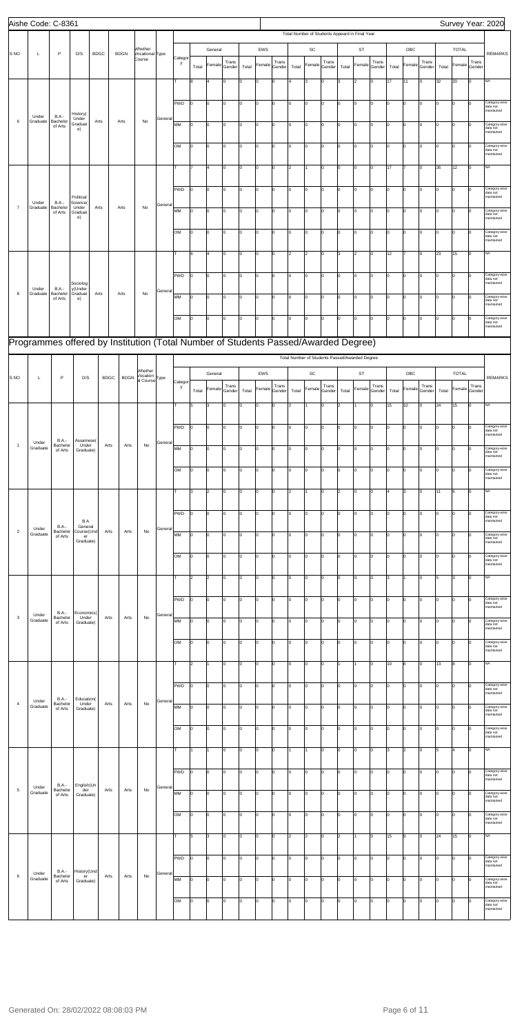|                 | Aishe Code: C-8361 |                                     |                              |             |                                                                                    |                                       |         |              |       |                |                 |       |        |                 |       |                      |                                                |       |                |                 |       |                |                 |          |                |                 | Survey Year: 2020                       |
|-----------------|--------------------|-------------------------------------|------------------------------|-------------|------------------------------------------------------------------------------------|---------------------------------------|---------|--------------|-------|----------------|-----------------|-------|--------|-----------------|-------|----------------------|------------------------------------------------|-------|----------------|-----------------|-------|----------------|-----------------|----------|----------------|-----------------|-----------------------------------------|
|                 |                    |                                     |                              |             |                                                                                    |                                       |         |              |       |                |                 |       |        |                 |       |                      | Total Number of Students Appeard in Final Year |       |                |                 |       |                |                 |          |                |                 |                                         |
| S <sub>NO</sub> | L                  | P                                   | D/S                          | <b>BDGC</b> | <b>BDGN</b>                                                                        | Whether<br>Vocational Type            |         |              |       | General        |                 |       | EWS    |                 |       | $\mathsf{SC}$        |                                                |       | ST             |                 |       | OBC            |                 |          | <b>TOTAL</b>   |                 | <b>REMARKS</b>                          |
|                 |                    |                                     |                              |             |                                                                                    | Course                                |         | Categor<br>y | Total | Female         | Trans<br>Gender | Total | Female | Trans<br>Gender | Total | Female               | Trans<br>Gender                                | Total | Female         | Trans<br>Gender | Total | Female         | Trans<br>Gender | Total    | Female         | Trans<br>Gender |                                         |
|                 |                    |                                     |                              |             |                                                                                    |                                       |         |              | 8     |                | O               | I٥    | O      | O               | 4     | 3                    | I٥                                             | l3.   | $\overline{2}$ | I٥              | 17    | 11             | Iо              | 32       | 20             | lо              | NA                                      |
|                 |                    |                                     |                              |             |                                                                                    |                                       |         |              |       |                |                 |       |        |                 |       |                      |                                                |       |                |                 |       |                |                 |          |                |                 |                                         |
|                 |                    |                                     |                              |             |                                                                                    |                                       |         | PWD          | I٥    | 0              | O               | I٥    | 0      | O               | I٥    | lo                   | Iо                                             | lо    | 0              | Iо              | I٥    | $\mathbf 0$    | $\mathbf 0$     | 0        | $\overline{0}$ | Iо              | Category-wise<br>data not               |
| 6               | Under<br>Graduate  | <b>B.A.-</b><br>Bachelor            | History(<br>Under<br>Graduat | Arts        | Arts                                                                               | No                                    | General |              |       |                |                 |       |        |                 |       |                      |                                                |       |                |                 |       |                |                 |          |                |                 | maintained                              |
|                 |                    | of Arts                             | e)                           |             |                                                                                    |                                       |         | MM           | l0    | 0              | I٥              | Iо    | 0      | 0               | I٥    | lo                   | Iо                                             | I٥    | 0              | Iо              | Iо    | 0              | 0               | 0        | lo             | $\Omega$        | Category-wise<br>data not<br>maintained |
|                 |                    |                                     |                              |             |                                                                                    |                                       |         | OM           | I٥    | l0             | O               | I٥    | l0     | 0               | I٥    | lo                   | Iо                                             | I٥    | $\mathbf 0$    | I٥              | I٥    | 0              | Iо              | o        | lo             | $\Omega$        | Category-wise<br>data not               |
|                 |                    |                                     |                              |             |                                                                                    |                                       |         |              |       |                |                 |       |        |                 |       |                      |                                                |       |                |                 |       |                |                 |          |                |                 | maintained                              |
|                 |                    |                                     |                              |             |                                                                                    |                                       |         |              |       |                | 0               | I٥    | 0      | O               | 2     |                      | Iо                                             | I٥    | 0              | $\mathbf 0$     | 17    | 17             | $\mathbf 0$     | 26       | 12             | Iо              | NA                                      |
|                 |                    |                                     |                              |             |                                                                                    |                                       |         | PWD          | I٥    | 0              | lo.             | lо    | O      | 0               | I٥    | lo                   | Iо                                             | I٥    | $\mathbf 0$    | Iо              | Iо    | $\circ$        | 0               | 0        | O              | 0               | Category-wise                           |
|                 | Under              | <b>B.A.-</b>                        | Political<br>Science(        |             |                                                                                    |                                       | General |              |       |                |                 |       |        |                 |       |                      |                                                |       |                |                 |       |                |                 |          |                |                 | data not<br>maintained                  |
| $\overline{7}$  | Graduate           | Bachelor<br>of Arts                 | Under<br>Graduat<br>e)       | Arts        | Arts                                                                               | No                                    |         | MM           | I٥    | $\Omega$       | lo.             | I٥    | O      | I٥              | I٥    | lo                   | Iо                                             | I٥    | $\mathbf 0$    | I٥              | I٥    | $\overline{0}$ | lo.             | Iо       | lo             | $\mathbf 0$     | Category-wise<br>data not<br>maintained |
|                 |                    |                                     |                              |             |                                                                                    |                                       |         | <b>OM</b>    | I٥    | 0              | I٥              | I٥    | O      | 0               | Iо    | lo                   | Iо                                             | I٥    | $\mathbf 0$    | I٥              | I٥    | $\mathbf 0$    | 0               | Iо       | $\overline{0}$ | $\mathbf 0$     | Category-wise                           |
|                 |                    |                                     |                              |             |                                                                                    |                                       |         |              |       |                |                 |       |        |                 |       |                      |                                                |       |                |                 |       |                |                 |          |                |                 | data not<br>naintained                  |
|                 |                    |                                     |                              |             |                                                                                    |                                       |         |              | 6     | $\overline{4}$ | lo.             | Iо    | O      | 0               | 2     | $\vert$ <sub>2</sub> | Iо                                             | lз    | $\overline{2}$ | Iо              | 12    | 7              | 0               | 23       | 15             | Iо              | NA                                      |
|                 |                    |                                     |                              |             |                                                                                    |                                       |         |              |       |                |                 |       |        |                 |       |                      |                                                |       |                |                 |       |                |                 |          |                |                 |                                         |
|                 |                    |                                     | Sociolog                     |             |                                                                                    |                                       |         | PWD          | I٥    | $\Omega$       | O               | Iо    | l0     | 0               | I٥    | lo                   | Iо                                             | I٥    | $\mathbf 0$    | I٥              | I٥    | 0              | $\Omega$        | o        | lo             | $\mathbf 0$     | Category-wise<br>data not<br>maintained |
| 8               | Under<br>Graduate  | <b>B.A.-</b><br>Bachelor<br>of Arts | y(Under<br>Graduat<br>e)     | Arts        | Arts                                                                               | No                                    | General | MM           | I٥    | 0              | 0               | I٥    | 0      | 0               | I٥    | lo                   | Iо                                             | I٥    | 0              | $\mathbf 0$     | I٥    | 0              | 0               | 0        | $\overline{0}$ | <sup>0</sup>    | Category-wise<br>data not               |
|                 |                    |                                     |                              |             |                                                                                    |                                       |         |              |       |                |                 |       |        |                 |       |                      |                                                |       |                |                 |       |                |                 |          |                |                 | maintained                              |
|                 |                    |                                     |                              |             |                                                                                    |                                       |         | lом          | I٥    | 0              | lo.             | lо    | O      | 0               | I٥    | lo                   | Iо                                             | I٥    | $\mathbf 0$    | Iо              | Iо    | $\overline{0}$ | 0               | $\Omega$ | lo             | $\mathbf 0$     | Category-wise<br>data not<br>maintained |
|                 |                    |                                     |                              |             | Programmes offered by Institution (Total Number of Students Passed/Awarded Degree) |                                       |         |              |       |                |                 |       |        |                 |       |                      |                                                |       |                |                 |       |                |                 |          |                |                 |                                         |
|                 |                    |                                     |                              |             |                                                                                    |                                       |         |              |       |                |                 |       |        |                 |       |                      | Total Number of Students Passed/Awarded Degree |       |                |                 |       |                |                 |          |                |                 |                                         |
|                 |                    |                                     |                              |             |                                                                                    | Whether                               |         |              |       |                |                 |       |        |                 |       |                      |                                                |       |                |                 |       |                |                 |          |                |                 |                                         |
| S NO            | Г                  | P                                   | D/S                          |             | <b>BDGN</b><br><b>BDGC</b>                                                         | Vocation<br>al Course <sup>Type</sup> |         | Categor      |       | General        |                 |       | EWS    |                 |       | SC                   |                                                |       | ST             |                 |       | OBC            |                 |          | <b>TOTAL</b>   |                 | <b>REMARKS</b>                          |
|                 |                    |                                     |                              |             |                                                                                    |                                       |         | y            | Total | Female         | Trans<br>Gender | Total | Female | Trans<br>Gender | Total | Female               | Trans<br>Gender                                | Total | Female         | Trans<br>Gender | Total | Female         | Trans<br>Gender | Total    | Female         | Trans<br>Gender |                                         |
|                 |                    |                                     |                              |             |                                                                                    |                                       |         |              | 5     | 3              | Iо              | lо    | 0      | 0               | 2     |                      | Iо                                             | 2     | 11             | Iо              | 15    | 10             | $ 0\rangle$     | 24       | 15             | $ 0\rangle$     | <b>NA</b>                               |
|                 |                    |                                     |                              |             |                                                                                    |                                       |         | PWD          | I٥    | 0              | Iо              | Iо    | O      | 0               | I٥    | lo                   | Iо                                             | I٥    | 0              | Iо              | Iо    | $\overline{0}$ | 0               | o        | lo             | Iо              | Category-wise                           |
|                 |                    | B.A.-                               | Assamese(                    |             |                                                                                    |                                       |         |              |       |                |                 |       |        |                 |       |                      |                                                |       |                |                 |       |                |                 |          |                |                 | data not<br>maintained                  |
| $\overline{1}$  | Under<br>Graduate  | Bachelor<br>of Arts                 | Under<br>Graduate)           |             | Arts<br>Arts                                                                       | No                                    | General | MM           | I٥    | $\Omega$       | I٥              | I٥    | O      | 0               | I٥    | $\overline{0}$       | I٥                                             | I٥    | $\Omega$       | I٥              | l٥    | 0              | $\mathbf 0$     | Iо       | $\overline{0}$ | 0               | Category-wise<br>data not               |
|                 |                    |                                     |                              |             |                                                                                    |                                       |         |              |       |                |                 |       |        |                 |       |                      |                                                |       |                |                 |       |                |                 |          |                |                 | maintained                              |
|                 |                    |                                     |                              |             |                                                                                    |                                       |         | <b>OM</b>    | I٥    | 0              | I٥              | I٥    | 0      | 0               | Iо    | 10                   | Iо                                             | I٥    | $\mathbf 0$    | I٥              | I٥    | $\mathbf 0$    | $\mathbf 0$     | Iо       | $\overline{0}$ | Iо              | Category-wise<br>data not<br>maintained |
|                 |                    |                                     |                              |             |                                                                                    |                                       |         | T            | 3     | $\overline{2}$ | Iо              | Iо    | O      | 0               | 2     |                      | I٥                                             | 2     | 0              | Iо              | 4     | 3              | 0               | 11       | 6              | $\mathbf 0$     | NA                                      |
|                 |                    |                                     |                              |             |                                                                                    |                                       |         |              |       |                |                 |       |        |                 |       |                      |                                                |       |                |                 |       |                |                 |          |                |                 |                                         |
|                 |                    |                                     | B.A                          |             |                                                                                    |                                       |         | PWD          | I٥    | $\Omega$       | O               | I٥    | O      | 0               | I٥    | $\overline{0}$       | Iо                                             | I٥    | $\Omega$       | 0               | I٥    | $\overline{0}$ | $\mathbf 0$     | Iо       | $\overline{0}$ | 0               | Category-wise<br>data not<br>maintained |
| $\overline{2}$  | Under<br>Graduate  | B.A.-<br>Bachelor<br>of Arts        | General<br>Course(Und<br>er  |             | Arts<br>Arts                                                                       | No                                    | General | MM           | I٥    | 0              | O               | I٥    | 0      | 0               | Iо    | lo                   | Iо                                             | I٥    | 0              | $\mathbf 0$     | I٥    | $\mathbf 0$    | $\mathbf 0$     | o        | $\overline{0}$ | Iо              | Category-wise<br>data not               |
|                 |                    |                                     | Graduate)                    |             |                                                                                    |                                       |         |              |       |                |                 |       |        |                 |       |                      |                                                |       |                |                 |       |                |                 |          |                |                 | maintained                              |
|                 |                    |                                     |                              |             |                                                                                    |                                       |         | lом          | I٥    | 0              | Iо              | Iо    | O      | 0               | I٥    | O                    | Iо                                             | I٥    | $\mathbf 0$    | Iо              | Iо    | $\overline{0}$ | 0               | o        | lo             | 0               | Category-wise<br>data not<br>maintained |
|                 |                    |                                     |                              |             |                                                                                    |                                       |         | lτ.          | 2     | $\overline{2}$ | lo.             | Iо    | O      | I٥              | I٥    | $\overline{0}$       | Iо                                             | I٥    | $\Omega$       | I٥              | lз    | 1              | Iо              | 5        | 3              | lо              | NA                                      |
|                 |                    |                                     |                              |             |                                                                                    |                                       |         |              |       |                |                 |       |        |                 |       |                      |                                                |       |                |                 |       |                |                 |          |                |                 |                                         |
|                 |                    |                                     |                              |             |                                                                                    |                                       |         | PWD          | l0    | 0              | 0               | I٥    | 0      | 0               | I٥    | 10                   | Iо                                             | I٥    | 0              | I٥              | I٥    | 0              | $\mathbf 0$     | o        | $\overline{0}$ | Iо              | Category-wise<br>data not<br>maintained |
| $_{3}$          | Under<br>Graduate  | B.A.-<br>Bachelor                   | Economics(<br>Under          |             | Arts<br>Arts                                                                       | $\mathsf{No}$                         | General | MM           | l0    | 0              | Iо              | Iо    | 0      | 0               | I٥    | lo                   | Iо                                             | I٥    | 0              | Iо              | Iо    | 0              | 0               | 0        | $\overline{0}$ | 0               | Category-wise                           |
|                 |                    | of Arts                             | Graduate)                    |             |                                                                                    |                                       |         |              |       |                |                 |       |        |                 |       |                      |                                                |       |                |                 |       |                |                 |          |                |                 | data not<br>maintained                  |
|                 |                    |                                     |                              |             |                                                                                    |                                       |         | OM           | I٥    | $\Omega$       | O               | I٥    | O      | O               | I٥    | $\overline{0}$       | Iо                                             | I٥    | $\Omega$       | Iо              | I٥    | 0              | $\mathbf 0$     | o        | $\overline{0}$ | 0               | Category-wise<br>data not               |
|                 |                    |                                     |                              |             |                                                                                    |                                       |         |              |       |                |                 |       |        |                 |       |                      |                                                |       |                |                 |       |                |                 |          |                |                 | maintained                              |
|                 |                    |                                     |                              |             |                                                                                    |                                       |         | т            | 2     |                | O               | I٥    | 0      | O               | Iо    | lo                   | Iо                                             |       |                | Iо              | 10    | 6              | $\mathbf 0$     | 13       | 8              | Iо              | NA                                      |
|                 |                    |                                     |                              |             |                                                                                    |                                       |         | PWD          | I٥    | 0              | I٥              | Iо    | O      | 0               | I٥    | lo                   | I٥                                             | I٥    | 0              | Iо              | Iо    | $\overline{0}$ | 0               | o        | $\overline{0}$ | 0               | Category-wise<br>data not               |
| $\overline{4}$  | Under              | B.A.-<br>Bachelor                   | Education(<br>Under          |             | Arts<br>Arts                                                                       | No                                    | General |              |       |                |                 |       |        |                 |       |                      |                                                |       |                |                 |       |                |                 |          |                |                 | maintained                              |
|                 | Graduate           | of Arts                             | Graduate)                    |             |                                                                                    |                                       |         | MM           | I٥    | $\Omega$       | I٥              | I٥    | O      | 0               | I٥    | $\overline{0}$       | Iо                                             | I٥    | $\Omega$       | I٥              | I٥    | $\overline{0}$ | Iо              | Iо       | $\overline{0}$ | Iо              | Category-wise<br>data not<br>maintained |
|                 |                    |                                     |                              |             |                                                                                    |                                       |         | <b>OM</b>    | I٥    | 0              | 0               | I٥    | 0      | 0               | I٥    | 10                   | Iо                                             | I٥    | 0              | I٥              | I٥    | 0              | $\mathbf 0$     | o        | $\overline{0}$ | Iо              | Category-wise<br>data not               |
|                 |                    |                                     |                              |             |                                                                                    |                                       |         |              |       |                |                 |       |        |                 |       |                      |                                                |       |                |                 |       |                |                 |          |                |                 | maintained                              |
|                 |                    |                                     |                              |             |                                                                                    |                                       |         | lτ.          | 1     | $\mathbf{1}$   | Iо              | Iо    | 0      | 0               | 1     |                      | I٥                                             | I٥    | 0              | Iо              | lз    | $\overline{2}$ | 0               | 5        | $\overline{4}$ | $\mathbf 0$     | NA                                      |
|                 |                    |                                     |                              |             |                                                                                    |                                       |         | PWD          | I٥    | $\Omega$       | O               | I٥    | O      | lo.             | I٥    | $\overline{0}$       | lo.                                            | I٥    | $\Omega$       | Iо              | I٥    | $\overline{0}$ | Iо              | O        | $\overline{0}$ | 0               | Category-wise<br>data not               |

| 5 | Under    | B.A.-<br>Bachelor   | English(Un<br>der | Arts | Arts | No | General |            |    |          |     |    |   |    |     |          |     |          |    |     |    |          |                |     |        |              | maintained                              |
|---|----------|---------------------|-------------------|------|------|----|---------|------------|----|----------|-----|----|---|----|-----|----------|-----|----------|----|-----|----|----------|----------------|-----|--------|--------------|-----------------------------------------|
|   | Graduate | of Arts             | Graduate)         |      |      |    |         | <b>IMM</b> | I٥ | lo       | Iо  | lо | - | I٥ | lo. | $\Omega$ | lo. | I٥       | Iо | lo. |    | l0       | l <sub>0</sub> | I٥  | $\sim$ | lo.          | Category-wise<br>data not<br>maintained |
|   |          |                     |                   |      |      |    |         | <b>OM</b>  |    | $\Omega$ | l0  | 10 |   |    |     | $\Omega$ |     |          | l0 | l0  |    | <b>n</b> |                | lo. |        | $\Omega$     | Category-wise<br>data not<br>maintained |
|   |          |                     |                   |      |      |    |         | -          | l5 | l3       | Iо  | Iо |   | I٥ | l2  | 2        | Iо  | l2       |    | l0  | 15 | 9        | Iо             | 24  | 15     | I٥           | N <sub>A</sub>                          |
| 6 | Under    | B.A.-               | History(Und       | Arts |      | No | General | PWD        |    | l0.      | I٥  | 10 |   | In | I٥  | $\Omega$ |     | $\Omega$ | 0  | IO. |    |          | ın             | I٥  |        | ln.          | Category-wise<br>data not<br>maintained |
|   | Graduate | Bachelor<br>of Arts | er<br>Graduate)   |      | Arts |    |         | MM         | Iо | O        | lo. | Iо |   | I٥ | l٥  | $\Omega$ | I٥  | l٥       | Iо | lo. |    | ln.      | l <sub>0</sub> | I٥  | in.    | lo.          | Category-wise<br>data not<br>maintained |
|   |          |                     |                   |      |      |    |         | Іом        |    | ln.      | I٥  | 10 |   |    | l٥  | $\Omega$ |     |          | m  |     |    |          |                | l٥  |        | <sup>n</sup> | Category-wise<br>data not<br>maintained |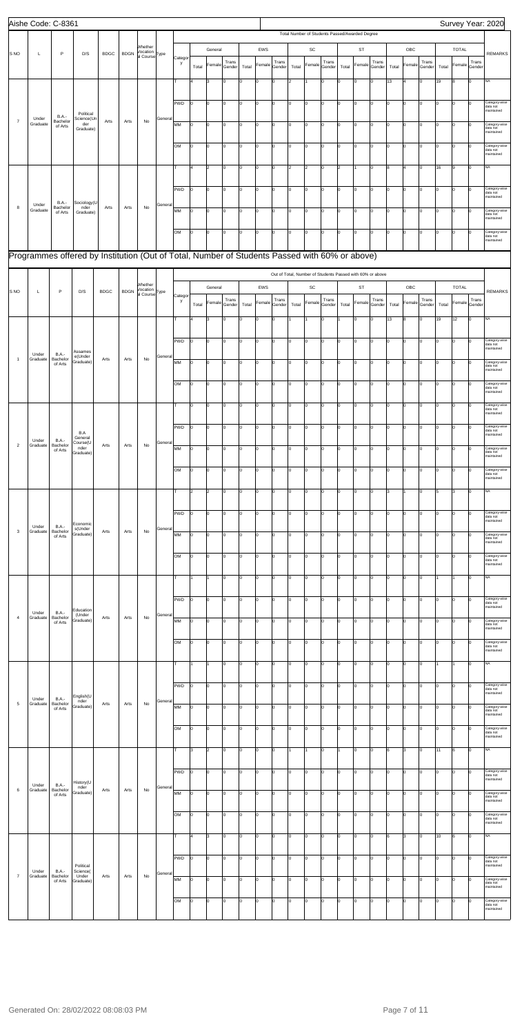|                           | Aishe Code: C-8361 |                                     |                                                                                               |             |             |                                                  |         |              |       |                      |                 |       |              |                 |                |                              |                                                           |                |                |                 |       |                |                 |       |              |                 | Survey Year: 2020                       |
|---------------------------|--------------------|-------------------------------------|-----------------------------------------------------------------------------------------------|-------------|-------------|--------------------------------------------------|---------|--------------|-------|----------------------|-----------------|-------|--------------|-----------------|----------------|------------------------------|-----------------------------------------------------------|----------------|----------------|-----------------|-------|----------------|-----------------|-------|--------------|-----------------|-----------------------------------------|
|                           |                    |                                     |                                                                                               |             |             |                                                  |         |              |       |                      |                 |       |              |                 |                |                              | Total Number of Students Passed/Awarded Degree            |                |                |                 |       |                |                 |       |              |                 |                                         |
| S <sub>NO</sub>           | $\mathsf{L}$       | P                                   | D/S                                                                                           | <b>BDGC</b> | <b>BDGN</b> | Whether<br>Vocation<br>al Course <sup>Type</sup> |         |              |       | General              |                 |       | EWS          |                 |                | $\operatorname{\textsf{SC}}$ |                                                           |                | ST             |                 |       | OBC            |                 |       | <b>TOTAL</b> |                 | <b>REMARKS</b>                          |
|                           |                    |                                     |                                                                                               |             |             |                                                  |         | Categor<br>y | Total | Female               | Trans<br>Gender | Total | Female       | Trans<br>Gender | Total          | Female                       | Trans<br>Gender                                           | Total          | Female         | Trans<br>Gender | Total | Female         | Trans<br>Gender | Total | Female       | Trans<br>Gender |                                         |
|                           |                    |                                     |                                                                                               |             |             |                                                  |         |              |       | l3                   | Jо              | I٥    | $\mathsf{o}$ | 0               | $\overline{2}$ | 1                            | $\mathbf 0$                                               | lo             | O              | Iо              | 13    |                | $\mathbf 0$     | 19    | 8            | $\mathbf 0$     | NA                                      |
|                           |                    |                                     |                                                                                               |             |             |                                                  |         |              |       |                      |                 |       |              |                 |                |                              |                                                           |                |                |                 |       |                |                 |       |              |                 |                                         |
|                           |                    |                                     |                                                                                               |             |             |                                                  |         | PWD          | lo    | O                    | Iо              | I٥    | 0            | I٥              | ١o             | O                            | I٥                                                        | Iо             | 0              | Iо              | Iо    | 0              | Iо              | o     | 0            | Iо              | Category-wise<br>data not               |
| $\boldsymbol{7}$          | Under              | B.A.-<br>Bachelor                   | Political<br>Science(Un                                                                       | Arts        | Arts        | No                                               | General |              |       |                      |                 |       |              |                 |                |                              |                                                           |                |                |                 |       |                |                 |       |              |                 | maintained                              |
|                           | Graduate           | of Arts                             | der<br>Graduate)                                                                              |             |             |                                                  |         | MM           | Iо    | lo                   | Iо              | lо    | $\mathsf{o}$ | lo.             | I٥             | lo                           | lo.                                                       | Iо             | lо             | lо              | lо    | $\overline{0}$ | 10              | o     | l0           | $\mathbf 0$     | Category-wise<br>data not<br>maintained |
|                           |                    |                                     |                                                                                               |             |             |                                                  |         | OM           | Ιo    | lo                   | Iо              | lо    | $\mathsf{o}$ | 0               | o              | O                            | I٥                                                        | Iо             | lо             | Iо              | I٥    | $\overline{0}$ | 0               | o     | Iо           | $\Omega$        | Category-wise<br>data not               |
|                           |                    |                                     |                                                                                               |             |             |                                                  |         |              |       |                      |                 |       |              |                 |                |                              |                                                           |                |                |                 |       |                |                 |       |              |                 | maintained                              |
|                           |                    |                                     |                                                                                               |             |             |                                                  |         |              | 4     | 2                    | Iо              | I٥    | 0            | I٥              | $\overline{2}$ | $\overline{2}$               | I٥                                                        | 2              |                | Iо              | 8     | 4              | Iо              | 16    | 9            | Iо              | NA                                      |
|                           |                    |                                     |                                                                                               |             |             |                                                  |         | <b>PWD</b>   | I٥    | lo                   | Iо              | lо    | $\mathsf{o}$ | 0               | lo.            | lo                           | I٥                                                        | Iо             | lо             | Iо              | I٥    | 0              | O               | lo    | lo           | $\mathbf 0$     | Category-wise<br>data not               |
|                           | Under              | <b>B.A.-</b>                        | Sociology(U                                                                                   |             |             |                                                  | General |              |       |                      |                 |       |              |                 |                |                              |                                                           |                |                |                 |       |                |                 |       |              |                 | maintained                              |
| $\bf8$                    | Graduate           | Bachelor<br>of Arts                 | nder<br>Graduate)                                                                             | Arts        | Arts        | No                                               |         | MM           | Iо    | lo                   | Iо              | lо    | $\mathbf 0$  | $\mathbf 0$     | o              | $\mathsf{o}$                 | I٥                                                        | lo.            | lо             | Iо              | lо    | $\overline{0}$ | 0               | o     | lo           | <sup>0</sup>    | Category-wise<br>data not<br>maintained |
|                           |                    |                                     |                                                                                               |             |             |                                                  |         | <b>OM</b>    | lо    | O                    | Iо              | I٥    | 0            | I٥              | O              | O                            | I٥                                                        | Iо             | 0              | Iо              | I٥    | 0              | Iо              | 0     | O            | n               | Category-wise                           |
|                           |                    |                                     |                                                                                               |             |             |                                                  |         |              |       |                      |                 |       |              |                 |                |                              |                                                           |                |                |                 |       |                |                 |       |              |                 | data not<br>maintained                  |
|                           |                    |                                     | Programmes offered by Institution (Out of Total, Number of Students Passed with 60% or above) |             |             |                                                  |         |              |       |                      |                 |       |              |                 |                |                              |                                                           |                |                |                 |       |                |                 |       |              |                 |                                         |
|                           |                    |                                     |                                                                                               |             |             |                                                  |         |              |       |                      |                 |       |              |                 |                |                              | Out of Total, Number of Students Passed with 60% or above |                |                |                 |       |                |                 |       |              |                 |                                         |
|                           |                    |                                     |                                                                                               |             |             | Whether                                          |         |              |       | General              |                 |       | EWS          |                 |                | $\operatorname{\textsf{SC}}$ |                                                           |                | ST             |                 |       | OBC            |                 |       | <b>TOTAL</b> |                 |                                         |
| S <sub>NO</sub>           | L                  | P                                   | D/S                                                                                           | <b>BDGC</b> | <b>BDGN</b> | Vocation<br>al Course <sup>Type</sup>            |         | Categor<br>y |       | Female               | Trans           |       | Female       | Trans           |                | Female                       | Trans                                                     |                | Female         | Trans           |       | Female         | Trans           |       | Female       | Trans           | <b>REMARKS</b>                          |
|                           |                    |                                     |                                                                                               |             |             |                                                  |         |              | Total |                      | Gender          | Total |              | Gender          | Total          |                              | Gender                                                    | Total          |                | Gender          | Total |                | Gender          | Total |              | Gender          |                                         |
|                           |                    |                                     |                                                                                               |             |             |                                                  |         |              |       | 3                    | Iо              | lo    | $\mathbf 0$  | O               |                |                              | $\mathbf 0$                                               |                | $\mathbf 0$    | Iо              | 13    | 8              | $\mathbf 0$     | 19    | 12           | $\mathbf 0$     | NA                                      |
|                           |                    |                                     |                                                                                               |             |             |                                                  |         | PWD          | lo    | O                    | Iо              | lо    | 0            | I٥              | O              | O                            | I٥                                                        | Iо             | 0              | Iо              | Iо    | 0              | Iо              | o     | 0            | Iо              | Category-wise<br>data not               |
| $\overline{1}$            | Under<br>Graduate  | <b>B.A.-</b><br>Bachelor            | Assames<br>e(Under                                                                            | Arts        | Arts        | No                                               | General |              |       |                      |                 |       |              |                 |                |                              |                                                           |                |                |                 |       |                |                 |       |              |                 | maintained                              |
|                           |                    | of Arts                             | Graduate)                                                                                     |             |             |                                                  |         | MM           | I٥    | lo                   | Iо              | lо    | $\mathsf{o}$ | lo.             | I٥             | o                            | lo.                                                       | Iо             | lо             | lо              | lо    | $\overline{0}$ | 10              | Iо    | l0           | $\mathbf 0$     | Category-wise<br>data not<br>maintained |
|                           |                    |                                     |                                                                                               |             |             |                                                  |         | OM           | lо    | lo                   | Jо              | lо    | $\mathsf{o}$ | 0               | I٥             | O                            | lo.                                                       | lo.            | lо             | lо              | I٥    | $\overline{0}$ | 0               | Iо    | lo           | $\Omega$        | Category-wise                           |
|                           |                    |                                     |                                                                                               |             |             |                                                  |         |              |       |                      |                 |       |              |                 |                |                              |                                                           |                |                |                 |       |                |                 |       |              |                 | data not<br>maintained                  |
|                           |                    |                                     |                                                                                               |             |             |                                                  |         |              | 10    | $\overline{0}$       | 10              | 0     | 0            | $\overline{0}$  | 0              | 0                            | 0                                                         | $\overline{0}$ | $\overline{0}$ | 10              | Iо    | 0              | 10              | Iо    | 0            | 10              | Category-wise<br>data not<br>maintained |
|                           |                    |                                     |                                                                                               |             |             |                                                  |         | <b>PWD</b>   | 10    | lo                   | Iо              | I٥    | 0            | 0               | ١o             | O                            | lo.                                                       | 10             | lо             | Iо              | lо    | 0              | 0               | o     | lo           | Iо              | Category-wise                           |
|                           | Under              | <b>B.A.-</b>                        | B.A<br>General                                                                                |             |             |                                                  |         |              |       |                      |                 |       |              |                 |                |                              |                                                           |                |                |                 |       |                |                 |       |              |                 | data not<br>maintained                  |
| $\overline{2}$            | Graduate           | Bachelor<br>of Arts                 | Course(U<br>nder<br>Graduate)                                                                 | Arts        | Arts        | No                                               | General | MM           | 10    | l0                   | Iо              | I٥    | $\mathbf 0$  | O               | o              | O                            | I٥                                                        | Ιo             | O              | Iо              | I٥    | 0              | O               | o     | lo           | <sup>0</sup>    | Category-wise<br>data not<br>maintained |
|                           |                    |                                     |                                                                                               |             |             |                                                  |         | OM           | 0     | lo                   | Iо              | I٥    | 0            | O               | ١o             | O                            | Iо                                                        | lо             | O              | Iо              | I٥    | 0              | Iо              | o     | 0            | Iо              | Category-wise                           |
|                           |                    |                                     |                                                                                               |             |             |                                                  |         |              |       |                      |                 |       |              |                 |                |                              |                                                           |                |                |                 |       |                |                 |       |              |                 | data not<br>maintained                  |
|                           |                    |                                     |                                                                                               |             |             |                                                  |         | T            | 2     | $\vert$ <sub>2</sub> | Iо              | I٥    | 0            | 0               | I٥             | O                            | Iо                                                        | 10             | 0              | lо              | 3     | $\overline{1}$ | 0               | 5     | 3            | Iо              | NA                                      |
|                           |                    |                                     |                                                                                               |             |             |                                                  |         |              |       |                      |                 |       |              |                 |                |                              |                                                           |                |                |                 |       |                |                 |       |              |                 |                                         |
|                           |                    |                                     | Economic                                                                                      |             |             |                                                  |         | PWD          | ln.   | lo                   | Iо              | I٥    | $\mathsf{o}$ | 0               | I٥             | O                            | Iо                                                        | Iо             | O              | lо              | lо    | $\overline{0}$ | 0               | o     | lo           | 0               | Category-wise<br>data not<br>maintained |
| $\ensuremath{\mathsf{3}}$ | Under<br>Graduate  | <b>B.A.-</b><br>Bachelor<br>of Arts | s(Under<br>Graduate)                                                                          | Arts        | Arts        | No                                               | General | MM           | 10    | O                    | Iо              | I٥    | 0            | 0               | ١o             | O                            | 0                                                         | Iо             | 0              | Iо              | I٥    | 0              | O               | 0     | O            | $\mathbf 0$     | Category-wise<br>data not               |
|                           |                    |                                     |                                                                                               |             |             |                                                  |         |              |       |                      |                 |       |              |                 |                |                              |                                                           |                |                |                 |       |                |                 |       |              |                 | maintained                              |
|                           |                    |                                     |                                                                                               |             |             |                                                  |         | OM           | 10    | lo                   | Iо              | I٥    | 0            | 0               | ١o             | O                            | lо                                                        | 10             | 0              | Iо              | lо    | 0              | O               | o     | 0            | Iо              | Category-wise<br>data not<br>maintained |
|                           |                    |                                     |                                                                                               |             |             |                                                  |         | T            |       |                      | Iо              | lо    | $\mathsf{o}$ | 0               | o              | O                            | I٥                                                        | I٥             | O              | Iо              | lо    | $\overline{0}$ | O               |       | 11           | $\mathbf 0$     | NA                                      |
|                           |                    |                                     |                                                                                               |             |             |                                                  |         |              |       |                      |                 |       |              |                 |                |                              |                                                           |                |                |                 |       |                |                 |       |              |                 |                                         |
|                           |                    |                                     |                                                                                               |             |             |                                                  |         | <b>PWD</b>   | lo    | O                    | Iо              | I٥    | 0            | I٥              | O              | O                            | I٥                                                        | lо             | O              | Iо              | lо    | 0              | Iо              | o     | l0           | Iо              | Category-wise<br>data not<br>maintained |
| $\overline{4}$            | Under<br>Graduate  | B.A.-<br>Bachelor                   | Education<br>(Under<br>Graduate)                                                              | Arts        | Arts        | No                                               | General | MM           | 10    | lo                   | Iо              | I٥    | 0            | 0               | I٥             | O                            | lо                                                        | 10             | 0              | lо              | lо    | $\overline{0}$ | 0               | Iо    | l0           | Iо              | Category-wise                           |
|                           |                    | of Arts                             |                                                                                               |             |             |                                                  |         |              |       |                      |                 |       |              |                 |                |                              |                                                           |                |                |                 |       |                |                 |       |              |                 | data not<br>maintained                  |
|                           |                    |                                     |                                                                                               |             |             |                                                  |         | OM           | Iо    | o                    | Jо              | I٥    | $\mathsf{o}$ | 0               | I٥             | 0                            | lo.                                                       | Iо             | O              | lо              | I٥    | $\overline{0}$ | 0               | Iо    | lo           | 0               | Category-wise<br>data not               |
|                           |                    |                                     |                                                                                               |             |             |                                                  |         |              |       |                      |                 |       |              |                 |                |                              |                                                           |                |                |                 |       |                |                 |       |              |                 | maintained                              |
|                           |                    |                                     |                                                                                               |             |             |                                                  |         |              |       |                      | Iо              | I٥    | 0            | O               | 0              | O                            | Iо                                                        | Iо             | 0              | Iо              | I٥    | 0              | Iо              | 1     | 11           | Iо              | NA                                      |
|                           |                    |                                     |                                                                                               |             |             |                                                  |         | PWD          | 10    | lo                   | Iо              | I٥    | 0            | O               | ١o             | O                            | lо                                                        | 10             | O              | Iо              | lо    | 0              | O               | l0    | 0            | Iо              | Category-wise<br>data not               |
| 5                         | Under<br>Graduate  | <b>B.A.-</b><br>Bachelor            | English(U<br>nder                                                                             | Arts        | Arts        | No                                               | General |              |       |                      |                 |       |              |                 |                |                              |                                                           |                |                |                 |       |                |                 |       |              |                 | maintained                              |
|                           |                    | of Arts                             | Graduate)                                                                                     |             |             |                                                  |         | MM           | lо    | o                    | Iо              | I٥    | $\mathbf 0$  | O               | o              | O                            | I٥                                                        | I٥             | O              | Iо              | I٥    | 0              | O               | o     | lo           | <sup>0</sup>    | Category-wise<br>data not<br>maintained |
|                           |                    |                                     |                                                                                               |             |             |                                                  |         | OM           | 0     | lo                   | Iо              | I٥    | 0            | I٥              | o              | O                            | Iо                                                        | lо             | O              | Iо              | I٥    | 0              | Iо              | o     | 0            | Iо              | Category-wise<br>data not               |
|                           |                    |                                     |                                                                                               |             |             |                                                  |         |              |       |                      |                 |       |              |                 |                |                              |                                                           |                |                |                 |       |                |                 |       |              |                 | maintained                              |
|                           |                    |                                     |                                                                                               |             |             |                                                  |         | lτ           | 3     | $\vert$ <sub>2</sub> | Iо              | I٥    | 0            | 0               | 1              | 1                            | lо                                                        | I1             | 0              | lо              | 6     | 3              | 10              | 11    | 6            | Iо              | NA                                      |
|                           |                    |                                     |                                                                                               |             |             |                                                  |         | PWD          | Iо    | $\vert$ 0            | Jо              | I٥    | $\mathbf 0$  | O               | O              | 0                            | lo.                                                       | lо             | O              | lо              | I٥    | $\circ$        | O               | O     | O            | Iо              | Category-wise<br>data not               |

| 6              | Under<br>Graduate | <b>B.A.-</b><br>Bachelor | History(U<br>nder              | Arts | Arts | No | General |            |    |          |    |          |  |    |     |    |    |        |    |                |          |        |              |     | maintained                              |
|----------------|-------------------|--------------------------|--------------------------------|------|------|----|---------|------------|----|----------|----|----------|--|----|-----|----|----|--------|----|----------------|----------|--------|--------------|-----|-----------------------------------------|
|                |                   | of Arts                  | Graduate)                      |      |      |    |         | <b>MM</b>  | I٥ | $\Omega$ |    |          |  |    | Iо  | l٥ | 10 | $\sim$ | I٥ | l <sub>0</sub> | n        | $\sim$ | n            | Iо  | Category-wise<br>data not<br>maintained |
|                |                   |                          |                                |      |      |    |         | lом        | I٥ |          |    |          |  |    | lo. |    |    |        | I٥ |                |          |        |              | Iо  | Category-wise<br>data not<br>maintained |
|                |                   |                          |                                |      |      |    |         |            |    | 3        | I٥ | I٥       |  | I٥ | Iо  | I٥ | 10 |        | l6 | 3              | $\Omega$ | 10     | <sub>6</sub> | Iо  | N <sub>A</sub>                          |
| $\overline{7}$ | Under<br>Graduate | B.A.-<br>Bachelor        | Political<br>Science(<br>Under | Arts | Arts | No | General | PWD        | I٥ | $\Omega$ |    |          |  |    | l0  | ın |    |        |    |                |          |        |              | Iо  | Category-wise<br>data not<br>maintained |
|                |                   | of Arts                  | Graduate)                      |      |      |    |         | <b>IMM</b> | I٥ | 0        | l٥ | $\Omega$ |  |    | Iо  | I٥ | Ic |        | I٥ |                | n        |        | ln.          | lo. | Category-wise<br>data not<br>maintained |
|                |                   |                          |                                |      |      |    |         | Іом        | lo |          |    |          |  |    | l0  | ın |    |        |    |                |          |        |              | l0. | Category-wise<br>data not<br>maintained |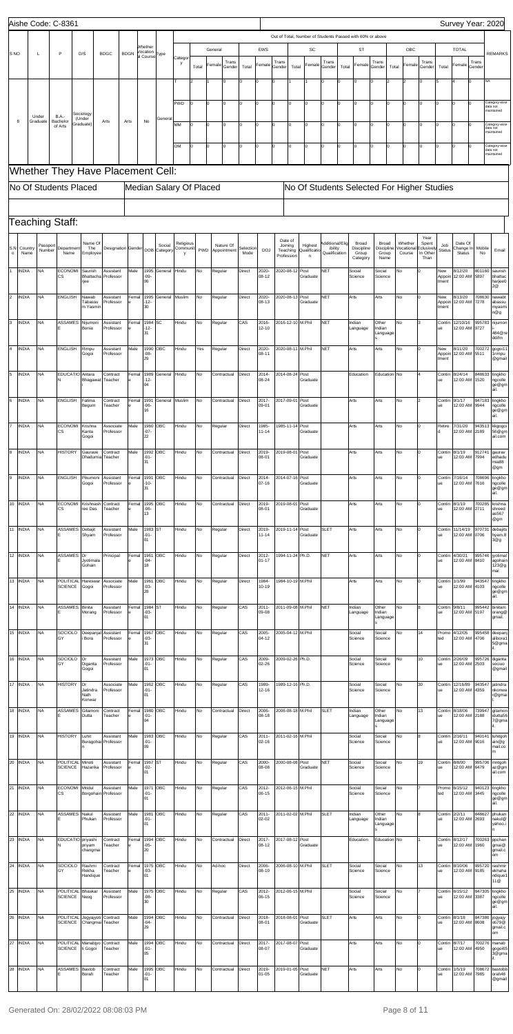|                |              |                   |                    | Aishe Code: C-8361                     |                              |                                                           |             |                                                  |                        |                         |       |                           |           |                       |                                |                   |                        |                            |          |                                                           |                                   |              |                       |                            |                        | Survey Year: 2020       |                 |                                         |
|----------------|--------------|-------------------|--------------------|----------------------------------------|------------------------------|-----------------------------------------------------------|-------------|--------------------------------------------------|------------------------|-------------------------|-------|---------------------------|-----------|-----------------------|--------------------------------|-------------------|------------------------|----------------------------|----------|-----------------------------------------------------------|-----------------------------------|--------------|-----------------------|----------------------------|------------------------|-------------------------|-----------------|-----------------------------------------|
|                |              |                   |                    |                                        |                              |                                                           |             |                                                  |                        |                         |       |                           |           |                       |                                |                   |                        |                            |          | Out of Total, Number of Students Passed with 60% or above |                                   |              |                       |                            |                        |                         |                 |                                         |
| S NO           |              | L                 |                    | P                                      | D/S                          | <b>BDGC</b>                                               | <b>BDGN</b> | Whether<br>Vocation<br>al Course <sup>Type</sup> |                        | Catego                  |       | General                   |           | EWS                   |                                |                   | SC                     |                            |          | <b>ST</b>                                                 |                                   |              | OBC                   |                            |                        | <b>TOTAL</b>            |                 | <b>REMARKS</b>                          |
|                |              |                   |                    |                                        |                              |                                                           |             |                                                  |                        | у                       | Total | Trans<br>Female<br>Gender | Total     | Female                | Trans<br>Gender                | Total             | Female                 | Trans<br>Gender            | Total    | Female                                                    | Trans<br>Gender                   | Total        | Female                | Trans<br>Gender            | Total                  | Female                  | Trans<br>Gender |                                         |
|                |              |                   |                    |                                        |                              |                                                           |             |                                                  |                        |                         |       | 0                         | ۱n        | $\Omega$              |                                |                   |                        | n                          |          | 0                                                         | I٥                                |              |                       |                            | l5                     | $\Omega$                | NA              |                                         |
|                |              |                   |                    |                                        |                              |                                                           |             |                                                  |                        | PWD                     |       | O                         | I٥        | $\Omega$              |                                |                   | I٥                     | n                          |          | 0                                                         | Iо                                |              |                       |                            | I٥                     |                         |                 | Category-wise<br>data not               |
|                | 8            | Under<br>Graduate |                    | <b>B.A.</b><br>Bachelor                | Sociology<br>(Under          | Arts                                                      | Arts        | No                                               | General                |                         |       |                           |           |                       |                                |                   |                        |                            |          |                                                           |                                   |              |                       |                            |                        |                         |                 | naintained                              |
|                |              |                   |                    | of Arts                                | Graduate)                    |                                                           |             |                                                  |                        | MM<br>ln.               | 0     | $\overline{0}$            | I٥        | O                     | l0                             | $\Omega$          | O                      | l <sub>0</sub>             | $\Omega$ | $\Omega$                                                  | Iо                                | lo.          | n                     | $\Omega$                   | l٥                     | $\Omega$                |                 | Category-wise<br>data not<br>naintained |
|                |              |                   |                    |                                        |                              |                                                           |             |                                                  |                        | OM<br>l0.               | 0     | $\mathbf 0$               | I٥        | O                     | lo                             | $\Omega$          | I٥                     | l <sub>0</sub>             | I٥       | $\Omega$                                                  | Iо                                | lo.          | I٥                    | $\Omega$                   | I٥                     | $\Omega$<br>$\Omega$    |                 | Category-wise<br>data not               |
|                |              |                   |                    |                                        |                              |                                                           |             |                                                  |                        |                         |       |                           |           |                       |                                |                   |                        |                            |          |                                                           |                                   |              |                       |                            |                        |                         |                 | naintained                              |
|                |              |                   |                    |                                        |                              | Whether They Have Placement Cell:                         |             |                                                  |                        |                         |       |                           |           |                       |                                |                   |                        |                            |          |                                                           |                                   |              |                       |                            |                        |                         |                 |                                         |
|                |              |                   |                    | No Of Students Placed                  |                              |                                                           |             |                                                  |                        | Median Salary Of Placed |       |                           |           |                       |                                |                   |                        |                            |          | No Of Students Selected For Higher Studies                |                                   |              |                       |                            |                        |                         |                 |                                         |
|                |              |                   |                    |                                        |                              |                                                           |             |                                                  |                        |                         |       |                           |           |                       |                                |                   |                        |                            |          |                                                           |                                   |              |                       |                            |                        |                         |                 |                                         |
|                |              |                   |                    | Teaching Staff:                        |                              |                                                           |             |                                                  |                        |                         |       |                           |           |                       |                                |                   |                        |                            |          |                                                           |                                   |              |                       |                            |                        |                         |                 |                                         |
| S.N            | Country      |                   | Passport<br>Number | Department                             | Name Of<br>The               | Designation Gender                                        |             |                                                  | Social<br>DOB Category | Religious<br>Communit   | PWD   | Nature Of<br>Appointment  | Selection | <b>DOJ</b>            | Date of<br>Joining<br>Teaching |                   | Highest<br>Qualificati | Additional/Elig<br>ibility |          | Broad<br>Discipline                                       | <b>Broad</b><br><b>Discipline</b> |              | Whether<br>/ocational | Year<br>Spent<br>clusively | Job<br><b>Status</b>   | Date Of<br>Change In    | Mobile          | Email                                   |
| $\circ$        | Name         |                   |                    | Name                                   | Employee                     |                                                           |             |                                                  |                        |                         |       |                           | Mode      |                       | Profession                     |                   | $\mathsf{n}$           | Qualification              |          | Group<br>Category                                         | Group<br>Name                     |              | Course                | In Other<br>Than           |                        | Status                  | No              |                                         |
|                | <b>INDIA</b> | NA                |                    | <b>ECONOMI</b><br>СS                   | Saurish<br>Bhattacha<br>rjee | Assistant<br>Professor                                    | Male        | 1995<br>-09-<br>06                               | General                | Hindu                   | No    | Regular                   | Direct    | 2020-<br>08-12        | 2020-08-12                     |                   | Post<br>Graduate       | <b>NET</b>                 |          | Social<br>Science                                         | Social<br>Science                 | No           |                       |                            | New<br>Appoin<br>tment | 8/12/20<br>12:00 AM     | 801160<br>5897  | saurish<br>bhattac<br>harjee0           |
| $\overline{2}$ | <b>INDIA</b> | <b>NA</b>         |                    | <b>ENGLISH</b>                         | Nawab                        | Assistant                                                 | Femal       | 1995                                             | General                | Muslim                  | No    | Regular                   | Direct    | 2020-                 | 2020-08-13                     |                   | Post                   | <b>NET</b>                 |          | Arts                                                      | Arts                              | No           |                       |                            | New                    | 8/13/20                 | 708630          | 2@<br>nawabt                            |
|                |              |                   |                    |                                        | Tabassu<br>m Yasmir          | Professor                                                 |             | $-12-$<br>30                                     |                        |                         |       |                           |           | 08-13                 |                                |                   | Graduate               |                            |          |                                                           |                                   |              |                       |                            | Appoin<br>tment        | 12:00 AM                | 7278            | abassu<br>myasmi<br>n@g                 |
| 3              | <b>INDIA</b> | NA                |                    | ASSAMES                                | Nijumoni<br>Bonia            | Assistant<br>Professor                                    | Femal       | 1984<br>12-                                      | SC                     | Hindu                   | No    | Regular                   | CAS       | 2016-<br>12-10        |                                | 2016-12-10 M.Phil |                        | <b>NET</b>                 |          | Indian<br>Language                                        | Other<br>Indian                   | No           |                       |                            | Contin<br>ue           | 12/10/16<br>12:00 AM    | 995783<br>9727  | nijumon                                 |
|                |              |                   |                    |                                        |                              |                                                           |             | 31                                               |                        |                         |       |                           |           |                       |                                |                   |                        |                            |          |                                                           | Language                          |              |                       |                            |                        |                         |                 | 484@re<br>ddifm                         |
| ١4             | <b>INDIA</b> | <b>NA</b>         |                    | <b>ENGLISH</b>                         | Rimpu<br>Gogoi               | Assistant<br>Professor                                    | Male        | 1990<br>$-08-$<br>29                             | ОВС                    | Hindu                   | Yes   | Regular                   | Direct    | 2020-<br>08-11        |                                | 2020-08-11 M.Phil |                        | <b>NET</b>                 |          | Arts                                                      | Arts                              | No           |                       |                            | New<br>Appoin<br>tment | 8/11/20<br>12:00 AM     | 700272<br>5511  | gogoi11<br>1 rimpu<br>@gmail            |
| 5              | <b>INDIA</b> | <b>NA</b>         |                    | EDUCATIO Antara<br>N                   | Bhagawat                     | Contract<br>Teacher                                       | Femal       | 1989<br>$12 -$                                   | General                | Hindu                   | No    | Contractual               | Direct    | 2014-<br>08-24        | 2014-08-24                     |                   | Post<br>Graduate       |                            |          | Education                                                 |                                   | Education No |                       |                            | Contin<br>ue           | 8/24/14<br>12:00 AM     | 848633<br>1520  | tingkho<br>ngcolle                      |
|                |              |                   |                    |                                        |                              |                                                           |             | 04                                               |                        |                         |       |                           |           |                       |                                |                   |                        |                            |          |                                                           |                                   |              |                       |                            |                        |                         |                 | ge@gm <br>ail.                          |
| 6              | <b>INDIA</b> | <b>NA</b>         |                    | <b>ENGLISH</b>                         | Fatima<br>⊰egum              | Contract<br>Teacher                                       | Femal       | 1991<br>06-<br>16                                | General Muslim         |                         | No    | Contractual               | Direct    | 2017-<br>09-01        | 2017-09-01                     |                   | Post<br>Graduate       |                            |          | Arts                                                      | Arts                              | No           |                       |                            | Contin<br>ue           | 9/1/17<br>2:00 AM       | 9944            | 847183 tingkho<br>າgcolle<br>ge@gm      |
| I7             | <b>INDIA</b> | <b>NA</b>         |                    | ECONOMI Krishna                        |                              | Associate                                                 | Male        |                                                  | 1960 OBC               | Hindu                   | No    | Regular                   | Direct    | 1985-                 |                                | 1985-11-14 Post   |                        |                            |          | Arts                                                      | Arts                              | No           |                       | o                          | Retire                 | 7/31/20                 | 943513          | ail.<br>kkgogoi<br>56@gm                |
|                |              |                   |                    | СS                                     | Kanta<br>Gogoi               | Professor                                                 |             | $-07-$<br>22                                     |                        |                         |       |                           |           | 11-14                 |                                |                   | Graduate               |                            |          |                                                           |                                   |              |                       |                            | ld                     | 12:00 AM                | 2189            | ail.com                                 |
| 8              | <b>INDIA</b> | <b>NA</b>         |                    | <b>HISTORY</b>                         | Gaurave                      | Contract<br>Dhadumia Teacher                              | Male        | 1992<br>$-01-$<br>31                             | ОВС                    | Hindu                   | No    | Contractual               | Direct    | 2019-<br>08-01        | 2019-08-01                     |                   | Post<br>Graduate       |                            |          | Arts                                                      | Arts                              | No           |                       | l0                         | Contin<br>ue           | 8/1/19<br>12:00 AM      | 91274<br>7994   | gaurav<br>edhadu<br>mia88               |
| 9              | <b>INDIA</b> | <b>NA</b>         |                    | <b>ENGLISH</b>                         | Pikumoni                     | Assistant                                                 | Femal       | 1991                                             | OBC                    | Hindu                   | No    | Contractual               | Direct    | 2014-                 | 2014-07-16                     |                   | Post                   |                            |          | Arts                                                      | Arts                              | No           |                       | l0                         | Contin                 | 7/16/14                 | 708696          | @gm<br>tingkho                          |
|                |              |                   |                    |                                        | Gogoi                        | Professor                                                 |             | -10-<br>31                                       |                        |                         |       |                           |           | $07 - 16$             |                                |                   | Graduate               |                            |          |                                                           |                                   |              |                       |                            | ue                     | 12:00 AM                | 7616            | ngcolle<br>ge@gm<br>ail.                |
|                | 10 INDIA     | <b>NA</b>         |                    | <b>ECONOMI</b><br>CS                   | Krishnash<br>ree Das         | Contract<br>Teacher                                       | Femal       | 1995<br>-06-                                     | ОВС                    | Hindu                   | No    | Contractual               | Direct    | 2019-<br>08-01        | 2019-08-01                     |                   | Post<br>Graduate       |                            |          | Arts                                                      | Arts                              | No           |                       | l0                         | Contin<br>ue           | 8/1/19<br>12:00 AM      | 700285<br>2711  | krishna<br>shreed                       |
|                |              |                   |                    |                                        |                              |                                                           |             | 13                                               |                        |                         |       |                           |           |                       |                                |                   |                        |                            |          |                                                           |                                   |              |                       |                            |                        |                         |                 | as567<br>@gm                            |
|                | 11 INDIA     | <b>NA</b>         |                    | ASSAMES Debajit                        | Shyam                        | Assistant<br>Professor                                    | Male        | 1983 ST<br>$-01-$<br>01                          |                        | Hindu                   | No    | Regular                   | Direct    | 2019-<br>$11 - 14$    | 2019-11-14                     |                   | Post<br>Graduate       | <b>SLET</b>                |          | Arts                                                      | Arts                              | No           |                       | l0                         | Contin<br>ue           | 11/14/19<br>12:00 AM    | 970731<br>0706  | debajits<br>hyam.8<br>3@g               |
|                | 12 INDIA     | <b>NA</b>         |                    | ASSAMES Dr<br>Е                        | Jyotimala                    | Principal                                                 | Femal       | 1961<br>-04-                                     | OBC                    | Hindu                   | No    | Regular                   | Direct    | 2012-<br>$01 - 17$    |                                | 1994-11-24 Ph.D.  |                        | <b>NET</b>                 |          | Arts                                                      | Arts                              | No           |                       | o                          | Contin<br>ue           | 4/30/21<br>12:00 AM     | 995746<br>8410  | jyotimal<br>agohain                     |
|                |              |                   |                    |                                        | Gohain                       |                                                           |             | 18                                               |                        |                         |       |                           |           |                       |                                |                   |                        |                            |          |                                                           |                                   |              |                       |                            |                        |                         |                 | 23@g<br>mai                             |
|                | 13 INDIA     | <b>NA</b>         |                    | POLITICAL Hareswar<br><b>SCIENCE</b>   | Gogoi                        | Associate<br>Professor                                    | Male        | 1961<br>$-03-$<br>28                             | ОВС                    | Hindu                   | No    | Regular                   | Direct    | 1984-<br>10-19        |                                | 1984-10-19 M.Phil |                        |                            |          | Arts                                                      | Arts                              | No           |                       |                            | Contin<br>ue           | 1/1/99<br>12:00 AM      | 943547<br>4103  | tingkho<br>ngcolle<br>ge@gm             |
|                | 14 INDIA     | <b>NA</b>         |                    | ASSAMES Binita                         |                              | Assistant                                                 | Femal       | 1984 ST                                          |                        | Hindu                   | No    | Regular                   | CAS       | $2011 -$              |                                | 2011-09-08 M.Phil |                        | <b>NET</b>                 |          | Indian                                                    | Other                             | No           |                       | 8                          | Contin                 | 9/8/11                  | 995442          | ail.<br>binitam                         |
|                |              |                   |                    |                                        | Morang                       | Professor                                                 |             | -03-<br>01                                       |                        |                         |       |                           |           | 09-08                 |                                |                   |                        |                            |          | Language                                                  | Indian<br>Language                |              |                       |                            | ue                     | 12:00 AM                | 5197            | orang@<br>gmail.                        |
|                | 15 INDIA     | <b>NA</b>         |                    | SOCIOLO Deepanjal<br>GY                | i Bora                       | Assistant<br>Professor                                    | Femal       | 1967<br>$-03-$<br>31                             | OBC                    | Hindu                   | No    | Regular                   | CAS       | 2005-<br>04-12        |                                | 2005-04-12 M.Phil |                        |                            |          | Social<br>Science                                         | Social<br>Science                 | No           |                       | 14                         | Promo<br>ted           | 4/12/05<br>12:00 AM     | 995458<br>4706  | deepanj<br>alibora1<br>5@gma            |
|                | 16 INDIA     | <b>NA</b>         |                    | SOCIOLO                                | Dr                           | Assistant                                                 | Male        | 1973                                             | OBC                    | Hindu                   | No    | Regular                   | CAS       | 2009-                 |                                | 2009-02-26 Ph.D.  |                        |                            |          | Social                                                    | Social                            | No           |                       | 10                         | Contin                 | 2/26/09                 | 995726          | diganta                                 |
|                |              |                   |                    | GY                                     | Diganta<br>Gogoi             | Professor                                                 |             | $-01-$<br>01                                     |                        |                         |       |                           |           | 02-26                 |                                |                   |                        |                            |          | Science                                                   | Science                           |              |                       |                            | ue                     | 12:00 AM                | 2503            | sociuo<br>@gmail                        |
|                | 17 INDIA     | <b>NA</b>         |                    | <b>HISTORY</b>                         | Dr<br>Jatindra               | Associate<br>Professor                                    | Male        | 1962<br>$-01-$                                   | OBC                    | Hindu                   | No    | Regular                   | CAS       | 1989-<br>12-16        |                                | 1989-12-16 Ph.D.  |                        |                            |          | Social<br>Science                                         | Social<br>Science                 | No           |                       | 30                         | Contin<br>ue           | 12/16/89<br>12:00 AM    | 943547<br>4359  | jatindra<br>nkonwa                      |
|                |              |                   |                    |                                        | Nath<br>Konwar               |                                                           |             | 01                                               |                        |                         |       |                           |           |                       |                                |                   |                        | <b>SLET</b>                |          |                                                           |                                   |              |                       |                            |                        |                         |                 | r@gmai                                  |
|                | 18 INDIA     | <b>NA</b>         |                    | ASSAMES Gitamoni                       | Dutta                        | Contract<br>Teacher                                       | Femal       | 1980<br>$-01-$<br>04                             | OBC                    | Hindu                   | No    | Contractual               | Direct    | 2006-<br>08-18        |                                | 2006-08-18 M.Phil |                        |                            |          | Indian<br>Language                                        | Other<br>Indian<br>Language       | No           |                       | 13                         | Contin<br>ue           | 8/18/06<br>12:00 AM     | 739947<br>2188  | gitamon<br>idutta56<br>7@gma            |
|                | 19 INDIA     | <b>NA</b>         |                    | <b>HISTORY</b>                         | Luhit<br>Buragohai           | Assistant<br>Professor                                    | Male        | 1983<br>$-01-$                                   | OBC                    | Hindu                   | No    | Regular                   | CAS       | $2011 -$<br>$02 - 16$ |                                | 2011-02-16 M.Phil |                        |                            |          | Social<br>Science                                         | Social<br>Science                 | No           |                       | 8                          | Contin<br>ue           | 2/16/11<br>12:00 AM     | 940141<br>9016  | luhitgoh<br>ain@g                       |
|                |              |                   |                    |                                        |                              |                                                           |             | 09                                               |                        |                         |       |                           |           |                       |                                |                   |                        |                            |          |                                                           |                                   |              |                       |                            |                        |                         |                 | mail.co<br>m                            |
|                | 20 INDIA     | <b>NA</b>         |                    | POLITICAL Minoti<br><b>SCIENCE</b>     | Hazarika                     | Assistant<br>Professor                                    | Femal       | 1967 ST<br>-02-<br>01                            |                        | Hindu                   | No    | Regular                   | CAS       | 2000-<br>08-08        |                                | 2000-08-08 Post   | Graduate               | <b>NET</b>                 |          | Social<br>Science                                         | Social<br>Science                 | No           |                       | 19                         | Contin<br>ue           | 8/8/00<br>12:00 AM      | 995706<br>6479  | mntgoh<br>az@gm<br>ail.com              |
|                | 21 INDIA     | <b>NA</b>         |                    | ECONOMI Mridul                         |                              | Assistant                                                 | Male        | 1971 OBC                                         |                        | Hindu                   | No    | Regular                   | CAS       | 2012-                 | 2012-06-15 M.Phil              |                   |                        |                            |          | Social                                                    | Social                            | No           |                       |                            |                        | Promo 6/15/12           |                 | 940123 tingkho                          |
|                |              |                   |                    | ငဒ                                     |                              | Borgohain Professor                                       |             | -01-<br>01                                       |                        |                         |       |                           |           | 06-15                 |                                |                   |                        |                            |          | Science                                                   | Science                           |              |                       |                            | ted                    | 12:00 AM 3445           |                 | ngcolle<br>ge@gm <br>ail.               |
|                | 22 INDIA     | <b>NA</b>         |                    | ASSAMES Nakul                          | Phukan                       | Assistant<br>Professor                                    | Male        | 1981<br>$-01-$<br>01                             | ОВС                    | Hindu                   | No    | Regular                   | CAS       | 2011-<br>02-02        | 2011-02-02 M.Phil              |                   |                        | <b>SLET</b>                |          | Indian<br>Language                                        | Other<br>Indian<br>Language       | No           |                       | 8                          | Contin<br>ue           | 2/2/11<br>12:00 AM 2693 | 848627          | phukan<br>nakul@<br>yahoo.i             |
|                | 23 INDIA     | <b>NA</b>         |                    | EDUCATIO priyashi                      |                              | Contract                                                  | Femal       | 1994                                             | OBC                    | Hindu                   | No    | Contractual               | Direct    | 2017-                 |                                | 2017-08-12 Post   |                        |                            |          | Education                                                 |                                   | Education No |                       |                            | Contin                 | 8/12/17                 | 700263          | ppchan                                  |
|                |              |                   |                    | N                                      | priyam<br>changmai           | Teacher                                                   | e           | -05-<br>20                                       |                        |                         |       |                           |           | 08-12                 |                                |                   | Graduate               |                            |          |                                                           |                                   |              |                       |                            | ue                     | 12:00 AM                | 1960            | gmai@<br>gmail.c<br>om                  |
|                | $24$ INDIA   | <b>NA</b>         |                    | SOCIOLO<br>GY                          | Rashmi<br>Rekha              | Contract<br>Teacher                                       | Femal<br>e  | 1975 OBC<br>-03-                                 |                        | Hindu                   | No    | Ad-hoc                    | Direct    | 2006-<br>08-10        |                                | 2006-08-10 M.Phil |                        | <b>SLET</b>                |          | Social<br>Science                                         | Social<br>Science                 | No           |                       | 13                         | Contin<br>ue           | 8/10/06<br>12:00 AM     | 995720<br>9185  | rashmir<br>ekhaha                       |
|                |              |                   |                    |                                        | Handique                     |                                                           |             | 01                                               |                        |                         |       |                           |           |                       |                                |                   |                        |                            |          |                                                           |                                   |              |                       |                            |                        |                         |                 | ndique1<br>11@                          |
|                | 25 INDIA     | ΝA                |                    | POLITICAL Bhaskar<br>SCIENCE Neog      |                              | Assistant<br>Professor                                    | Male        | -08-<br>30                                       | 1975 OBC               | Hindu                   | No    | Regular                   | CAS       | 2012-<br>06-15        |                                | 2012-06-15 M.Phil |                        |                            |          | Social<br>Science                                         | Social<br>Science                 | No           |                       |                            | Contin<br>ue           | 6/15/12<br>12:00 AM     | 847305<br>3387  | tingkho<br>ngcolle<br>ge@gm<br>ail.     |
|                | 26 INDIA     | <b>NA</b>         |                    |                                        |                              | POLITICAL Jogyajyoti Contract<br>SCIENCE Changmai Teacher | Male        | 1994<br>-04-                                     | OBC                    | Hindu                   | No    | Contractual               | Direct    | 2018-<br>08-01        | 2018-08-01                     |                   | Post<br>Graduate       | <b>SLET</b>                |          | Arts                                                      | Arts                              | No           |                       | 0                          | Contin<br>ue           | 8/1/18<br>12:00 AM 8608 | 847386          | jogyajy<br>oti79@                       |
|                |              |                   |                    |                                        |                              |                                                           |             | 29                                               |                        |                         |       |                           |           |                       |                                |                   |                        |                            |          |                                                           |                                   |              |                       |                            |                        |                         |                 | gmail.c<br>om                           |
|                | 27 INDIA     | <b>NA</b>         |                    | POLITICAL Manabjyo<br>SCIENCE ti Gogoi |                              | Contract<br>Teacher                                       | Male        | $-01-$<br>05                                     | 1994 OBC               | Hindu                   | No    | Contractual               | Direct    | 2017-<br>08-07        | 2017-08-07                     |                   | Post<br>Graduate       |                            |          | Arts                                                      | Arts                              | No           |                       | 0                          | Contin<br>ue           | 8/7/17<br>12:00 AM      | 700276<br>4950  | manab<br>gogoi65<br>3@gma               |
|                | 28 INDIA     | <b>NA</b>         |                    | ASSAMES Bastob                         | Borah                        | Contract<br>Teacher                                       | Male        | 1995<br>$-01-$                                   | ОВС                    | Hindu                   | No    | Contractual               | Direct    | 2019-<br>$01 - 05$    |                                | 2019-01-05 Post   | Graduate               | <b>NET</b>                 |          | Arts                                                      | Arts                              | No           |                       |                            | Contin<br>ue           | 1/5/19<br>12:00 AM      | 708672<br>7985  | bastobb<br>orah48                       |
|                |              |                   |                    |                                        |                              |                                                           |             | 01                                               |                        |                         |       |                           |           |                       |                                |                   |                        |                            |          |                                                           |                                   |              |                       |                            |                        |                         |                 | @gmail                                  |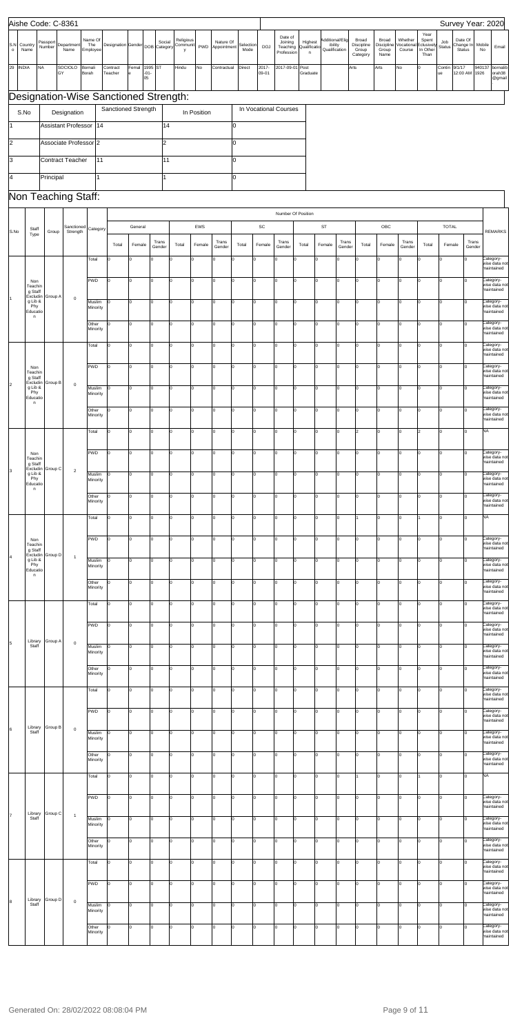|                     |                                        | Aishe Code: C-8361 |                                       |                            |                     |                                 |                   |                            |               |                          |                   |                       |                                              |                                       |                                             |              |                                          |                                      |                                 |                                                 |                        |                                | Survey Year: 2020                              |
|---------------------|----------------------------------------|--------------------|---------------------------------------|----------------------------|---------------------|---------------------------------|-------------------|----------------------------|---------------|--------------------------|-------------------|-----------------------|----------------------------------------------|---------------------------------------|---------------------------------------------|--------------|------------------------------------------|--------------------------------------|---------------------------------|-------------------------------------------------|------------------------|--------------------------------|------------------------------------------------|
| S.N<br>$\mathsf{o}$ | Country<br>Name                        | Passport<br>Number | Department<br>Name                    | Name Of<br>The<br>Employee |                     | Designation Gender DOB Category | Social            | Religious<br>Communit<br>y | PWD           | Nature Of<br>Appointment | Selection<br>Mode | <b>DOJ</b>            | Date of<br>Joining<br>Teaching<br>Profession | Highest<br>Qualificati<br>$\mathsf n$ | Additional/Elig<br>ibility<br>Qualification |              | Broad<br>Discipline<br>Group<br>Category | Broad<br>Discipline<br>Group<br>Name | Whether<br>Vocational<br>Course | Year<br>Spent<br>Eclusively<br>In Other<br>Than | Job<br>Status          | Date Of<br>Change In<br>Status | Mobile<br>Email<br>No                          |
| 29 INDIA            | <b>NA</b>                              | GY                 | SOCIOLO                               | Bornali<br>Borah           | Contract<br>Teacher | Femal<br>$-01-$<br>e<br>05      | 1995<br><b>ST</b> | Hindu                      | No            | Contractual              | Direct            | 2017-<br>09-01        | 2017-09-01                                   | Post<br>Graduate                      |                                             | Arts         |                                          | Arts                                 | No                              | O                                               | Contin<br>ue           | 9/1/17<br>12:00 AM             | 940137<br>bornalib<br>1926<br>orah38<br>@gmail |
|                     |                                        |                    | Designation-Wise Sanctioned Strength: |                            |                     |                                 |                   |                            |               |                          |                   |                       |                                              |                                       |                                             |              |                                          |                                      |                                 |                                                 |                        |                                |                                                |
|                     | S.No                                   |                    | Designation                           |                            |                     | Sanctioned Strength             |                   |                            | In Position   |                          |                   | In Vocational Courses |                                              |                                       |                                             |              |                                          |                                      |                                 |                                                 |                        |                                |                                                |
|                     |                                        |                    | Assistant Professor                   | 14                         |                     |                                 | 14                |                            |               |                          | 0                 |                       |                                              |                                       |                                             |              |                                          |                                      |                                 |                                                 |                        |                                |                                                |
| $\overline{2}$      |                                        |                    | Associate Professor 2                 |                            |                     |                                 | l2                |                            |               |                          | 0                 |                       |                                              |                                       |                                             |              |                                          |                                      |                                 |                                                 |                        |                                |                                                |
| Iз                  |                                        |                    | <b>Contract Teacher</b>               | 11                         |                     |                                 | 11                |                            |               |                          | 0                 |                       |                                              |                                       |                                             |              |                                          |                                      |                                 |                                                 |                        |                                |                                                |
| 4                   |                                        | Principal          |                                       |                            |                     |                                 |                   |                            |               |                          | 0                 |                       |                                              |                                       |                                             |              |                                          |                                      |                                 |                                                 |                        |                                |                                                |
|                     |                                        |                    | Non Teaching Staff:                   |                            |                     |                                 |                   |                            |               |                          |                   |                       |                                              |                                       |                                             |              |                                          |                                      |                                 |                                                 |                        |                                |                                                |
|                     |                                        |                    |                                       |                            |                     |                                 |                   |                            |               |                          |                   |                       |                                              | Number Of Position                    |                                             |              |                                          |                                      |                                 |                                                 |                        |                                |                                                |
| S.No                | Staff<br>Type                          | Group              | Sanctioned<br>Strength                | Category                   | Total               | General<br>Female               | Trans             | Total                      | EWS<br>Female | Trans                    | Total             | SC<br>Female          | Trans                                        | Total                                 | $\mathsf{ST}$<br>Female                     | Trans        | Total                                    | OBC<br>Female                        | Trans                           | Total                                           | <b>TOTAL</b><br>Female | Trans                          | <b>REMARKS</b>                                 |
|                     |                                        |                    |                                       | Total                      | lo                  |                                 | Gender<br>lo      |                            | $\Omega$      | Gender                   | l0.               | 0                     | Gender<br>$\Omega$                           |                                       | $\Omega$                                    | Gender<br>Iо |                                          | I٥                                   | Gender                          | I٥                                              |                        | Gender                         | Category-                                      |
|                     |                                        |                    |                                       | PWD                        | Iо                  | I٥                              | I٥                | I٥                         | o             | I٥                       | I٥                | O                     | $\Omega$                                     | I٥                                    | l0                                          | lо           | Iо                                       | lo                                   | Iо                              | Iо                                              | l0                     | lo.                            | wise data not<br>maintained<br>Category-       |
| 11                  | Non<br>Teachin<br>g Staff<br>Excludin  | Group A            | $\mathbf 0$                           |                            |                     |                                 |                   |                            |               |                          |                   |                       |                                              |                                       |                                             |              |                                          |                                      |                                 |                                                 |                        |                                | wise data no<br>maintained                     |
|                     | g Lib &<br>Phy<br>Educatio<br>n        |                    |                                       | Muslim<br>Minority         |                     | I٥                              | I٥                | I٥                         | o             | 0                        | I٥                | 0                     | $\overline{0}$                               | l0                                    | $\mathsf{o}$                                | lо           | lo                                       | O                                    | Iо                              | Iо                                              | l0                     | I٥                             | Category-<br>wise data not<br>maintained       |
|                     |                                        |                    |                                       | Other<br>Minority          | lo                  | lo.                             | I٥                | I٥                         | o             | 0                        | I٥                | 0                     | $\overline{0}$                               | Iо                                    | $\mathsf{o}$                                | Iо           | Iо                                       | lo                                   | Iо                              | Iо                                              | l0                     | ln.                            | Category-<br>wise data not<br>maintained       |
|                     |                                        |                    |                                       | Total                      | 0                   | lо                              | I٥                | lо                         | o             | lo.                      | I٥                | O                     | O                                            | I٥                                    | $\mathbf 0$                                 | lо           | Iо                                       | lo                                   | Iо                              | Iо                                              | l0                     | lo                             | Category-<br>wise data not<br>maintained       |
|                     | Non<br>Teachin                         |                    |                                       | <b>PWD</b>                 | 0                   | I٥                              | I٥                | I٥                         | o             | 0                        | I٥                | $\mathbf 0$           | $\mathbf 0$                                  | O                                     | $\mathsf{O}$                                | lо           | lо                                       | O                                    | Iо                              | Iо                                              | l0                     | lo                             | Category-<br>wise data not                     |
| 2                   | g Staff<br>g Lib &                     | Excludin Group B   | $\mathsf{O}$                          | Muslim                     | l0                  | l0                              | I٥                | lo                         | o             | O                        | I٥                | 0                     | O                                            | O                                     | $\mathsf{o}$                                | Iо           | lo                                       | $\overline{0}$                       | Iо                              | Iо                                              | l0                     |                                | maintained<br>Category-                        |
|                     | Phy<br>Educatio<br>n                   |                    |                                       | Minority<br>Other          | lо                  | lo.                             | lo                | l٥                         | l0            | O                        | lo.               | $\mathbf 0$           |                                              | lo                                    | $\Omega$                                    | Iо           | l٥                                       | lo                                   | Iо                              | Iо                                              | $\overline{0}$         | lo.                            | wise data not<br>maintained<br>Category-       |
|                     |                                        |                    |                                       | Minority                   |                     |                                 |                   |                            |               |                          |                   |                       |                                              |                                       |                                             |              |                                          |                                      |                                 |                                                 |                        |                                | wise data not<br>maintained                    |
|                     |                                        |                    |                                       | Total                      | O                   | l0                              | I٥                | I٥                         | 0             | 0                        | I٥                | 0                     | $\Omega$                                     | 0                                     | $\mathsf{o}$                                | Iо           | $\overline{2}$                           | O                                    | $\mathbf 0$                     | l2                                              | l0                     | I٥                             | NA                                             |
|                     | Non<br>Teachin<br>g Staff              |                    |                                       | PWD                        | l0                  | l٥                              | lo                | l٥                         | l0            | l0                       | I٥                | 0                     | $\Omega$                                     | ١o                                    | $\mathbf 0$                                 | Iо           | lo                                       | l0                                   | $\mathbf 0$                     | I٥                                              | l0                     | I٥                             | Category-<br>wise data not<br>maintained       |
| 3                   | Excludin<br>g Lib &<br>Phy<br>Educatio | Group C            | $\sqrt{2}$                            | Muslim<br>Minority         | I٥                  | lo.                             | lo.               | l٥                         | lo.           | O                        | I٥                | $\mathsf{o}$          | $\Omega$                                     | lo                                    | $\Omega$                                    | Ιo           | $\Omega$                                 | lo                                   | $\overline{0}$                  | Ιo                                              | l0                     | lo.                            | Category-<br>wise data not<br>maintained       |
|                     | $\sf n$                                |                    |                                       | Other<br>Minority          | O                   | I٥                              | I٥                | I٥                         | 0             | 0                        | I٥                | 0                     | $\Omega$                                     | 0                                     | $\overline{0}$                              | Iо           | $\Omega$                                 | $\overline{0}$                       | $\mathbf 0$                     | Iо                                              | l0                     | I٥                             | Category-<br>wise data not                     |
|                     |                                        |                    |                                       | Total                      | lo                  | lo.                             | lo                | l٥                         | l0            | l0                       | I٥                | $\Omega$              | $\Omega$                                     | ١n                                    | $\Omega$                                    | Iо           |                                          | l0                                   | $\Omega$                        |                                                 | l0                     | I٥                             | maintained<br>NA                               |
|                     | Non                                    |                    |                                       | <b>PWD</b>                 | lo.                 | lo.                             | I٥                | I٥                         | lo.           | 0                        | I٥                | 0                     | $\Omega$                                     | lо                                    | $\Omega$                                    | Iо           | lo                                       | lo                                   | Iо                              | Iо                                              | l0                     | I٥                             | Category-                                      |
| $\overline{4}$      | Teachin<br>g Staff<br>Excludin         | Group D            | $\mathbf{1}$                          |                            |                     |                                 |                   |                            |               |                          |                   |                       |                                              |                                       |                                             |              |                                          |                                      |                                 |                                                 |                        |                                | wise data not<br>maintained                    |
|                     | g Lib &<br>Phy<br>Educatio<br>n        |                    |                                       | Muslim<br>Minority         |                     | l0                              | Iо                | I٥                         | 0             | 0                        | I٥                | 0                     | $\mathbf 0$                                  | 0                                     | $\overline{0}$                              | Iо           | lo                                       | O                                    | $\mathbf 0$                     | Iо                                              | l0                     | I٥                             | Category-<br>wise data not<br>maintained       |
|                     |                                        |                    |                                       | Other<br>Minority          | lo                  | l٥                              | I٥                | l٥                         | lo.           | l0                       | I٥                | 0                     | $\Omega$                                     | O                                     | $\mathbf 0$                                 | Iо           | lo                                       | O                                    | $\mathbf 0$                     | Iо                                              | l0                     | lo.                            | Category-<br>wise data not<br>maintained       |
|                     |                                        |                    |                                       | Total                      | lо                  | lo.                             | lo                | l٥                         | lo.           | <sup>o</sup>             | I٥                | $\Omega$              | $\Omega$                                     | lo                                    | $\Omega$                                    | Iо           | lo                                       | lo                                   | Iо                              | Ιo                                              | l0                     | lo.                            | Category-<br>wise data not<br>maintained       |
|                     |                                        |                    |                                       | PWD                        | O                   | I٥                              | I٥                | I٥                         | 0             | 0                        | I٥                | 0                     | $\Omega$                                     | 0                                     | $\Omega$                                    | Iо           | $\Omega$                                 | O                                    | Iо                              | l٥                                              | l0                     | I٥                             | Category-<br>wise data not                     |
| 5                   | Library<br>Staff                       | Group A            | $\mathbf 0$                           | Muslim                     | l٥                  | In                              | lo                | ln.                        | lo.           | ln.                      | I٥                | $\Omega$              | $\Omega$                                     | ln.                                   | O                                           | Iо           | Iо                                       | l0                                   | Iо                              | Iо                                              | l0                     | I٥                             | maintained<br>Category-<br>wise data not       |
|                     |                                        |                    |                                       | Minority<br>Other          | lo                  | lo.                             | lo.               | l٥                         | lo.           | O                        | I٥                | $\mathsf{o}$          | $\Omega$                                     | lо                                    | $\Omega$                                    | Iо           | lo                                       | lo                                   | Iо                              | Ιo                                              | l0                     | lo.                            | maintained<br>Category-                        |
|                     |                                        |                    |                                       | Minority                   |                     |                                 |                   |                            |               |                          |                   |                       |                                              |                                       |                                             |              |                                          |                                      |                                 |                                                 |                        |                                | wise data not<br>maintained                    |
|                     |                                        |                    |                                       | Total                      | O                   | l0                              | I٥                | I٥                         | 0             | 0                        | I٥                | 0                     | $\Omega$                                     | 0                                     | $\mathsf{o}$                                | Iо           | lo                                       | O                                    | $\mathbf 0$                     | Iо                                              | l0                     | I٥                             | Category-<br>wise data not<br>maintained       |
|                     |                                        |                    |                                       | PWD                        | lo                  | l٥                              | I٥                | l٥                         | lo.           | l0                       | I٥                | 0                     | $\Omega$                                     | ١o                                    | $\mathbf 0$                                 | Iо           | lo                                       | O                                    | $\mathbf 0$                     | Iо                                              | l0                     | lo.                            | Category-<br>wise data not<br>maintained       |
| 6                   | Library<br>Staff                       | Group B            | $\mathbf 0$                           | Muslim<br>Minority         | I٥                  | lo.                             | I٥                | I٥                         | lo.           | 0                        | I٥                | 0                     | $\Omega$                                     | O                                     | $\Omega$                                    | Iо           | $\Omega$                                 | $\overline{0}$                       | Iо                              | Iо                                              | l0                     | lo.                            | Category-<br>wise data not<br>maintained       |
|                     |                                        |                    |                                       | Other<br>Minority          | O                   | l0                              | I٥                | I٥                         | O             | 0                        | I٥                | 0                     | $\Omega$                                     | 0                                     | $\overline{0}$                              | Iо           | $\Omega$                                 | O                                    | $\mathbf 0$                     | Iо                                              | l0                     | I٥                             | Category-<br>wise data not                     |
|                     |                                        |                    |                                       | Total                      | lo                  | l0                              | lo                | l٥                         | $\Omega$      | lo                       | lo.               | $\mathbf 0$           | $\Omega$                                     | ١O                                    | $\overline{0}$                              | Iо           |                                          | O                                    | $\overline{0}$                  |                                                 | $\overline{0}$         | lо                             | maintained<br>NA                               |
|                     |                                        |                    |                                       | PWD                        | lо                  | lо                              | lo.               | Iо                         | lo.           | O                        | I٥                | $\mathsf{o}$          | $\Omega$                                     | lо                                    | $\Omega$                                    | Iо           | l٥                                       | lo                                   | Iо                              | Iо                                              | $\overline{0}$         | I٥                             | Category-                                      |
| 17                  | Library<br>Staff                       | Group C            | $\mathbf{1}$                          |                            |                     |                                 |                   |                            |               |                          |                   |                       |                                              |                                       |                                             |              |                                          |                                      |                                 |                                                 |                        |                                | wise data not<br>maintained<br>Category-       |
|                     |                                        |                    |                                       | Muslim<br>Minority         |                     | lо                              | I٥                | I٥                         | 0             | 0                        | I٥                | 0                     | $\Omega$                                     | 0                                     | $\mathsf{o}$                                | Iо           | l٥                                       | O                                    | 0                               | Iо                                              | $\overline{0}$         | I٥                             | wise data not<br>maintained                    |
|                     |                                        |                    |                                       | Other<br>Minority          | lo                  | l0                              | I٥                | lo                         | o             | l0                       | I٥                | 0                     | $\Omega$                                     | O                                     | $\mathbf 0$                                 | Iо           | lo                                       | O                                    | $\mathbf 0$                     | Iо                                              | $\overline{0}$         | I٥                             | Category-<br>wise data not<br>maintained       |
|                     |                                        |                    |                                       | Total                      | lo.                 | I٥                              | lo.               | I٥                         | lo.           | O                        | lo.               | $\mathsf{o}$          | $\Omega$                                     | I٥                                    | $\Omega$                                    | Iо           | lo                                       | lo                                   | Iо                              | Iо                                              | $\overline{0}$         | I٥                             | Category-<br>wise data not<br>maintained       |
|                     |                                        |                    |                                       | PWD                        | I٥                  | I٥                              | I٥                | I٥                         | o             | 0                        | I٥                | 0                     | 0                                            | 0                                     | $\mathsf{o}$                                | Iо           | lo                                       | $\overline{0}$                       | Iо                              | Iо                                              | $\overline{0}$         | lo.                            | Category-<br>wise data not                     |
| 8                   | Library<br>Staff                       | Group D            | $\mathsf 0$                           | Muslim                     | lo                  | lo.                             | I٥                | l٥                         | 0             | l0                       | I٥                | $\mathbf 0$           | l0                                           | I٥                                    | $\mathsf{o}$                                | Iо           | I٥                                       | O                                    | $\mathbf 0$                     | Iо                                              | l0                     | I٥                             | maintained<br>Category-<br>wise data not       |
|                     |                                        |                    |                                       | Minority<br>Other          | O                   | lо                              | I٥                | I٥                         | o             | I٥                       | I٥                | 0                     | $\Omega$                                     | Iо                                    | $\Omega$                                    | Iо           | lo                                       | lo                                   | $\Omega$                        | Iо                                              | O                      | I٥                             | maintained<br>Category-                        |
|                     |                                        |                    |                                       | Minority                   |                     |                                 |                   |                            |               |                          |                   |                       |                                              |                                       |                                             |              |                                          |                                      |                                 |                                                 |                        |                                | wise data not<br>maintained                    |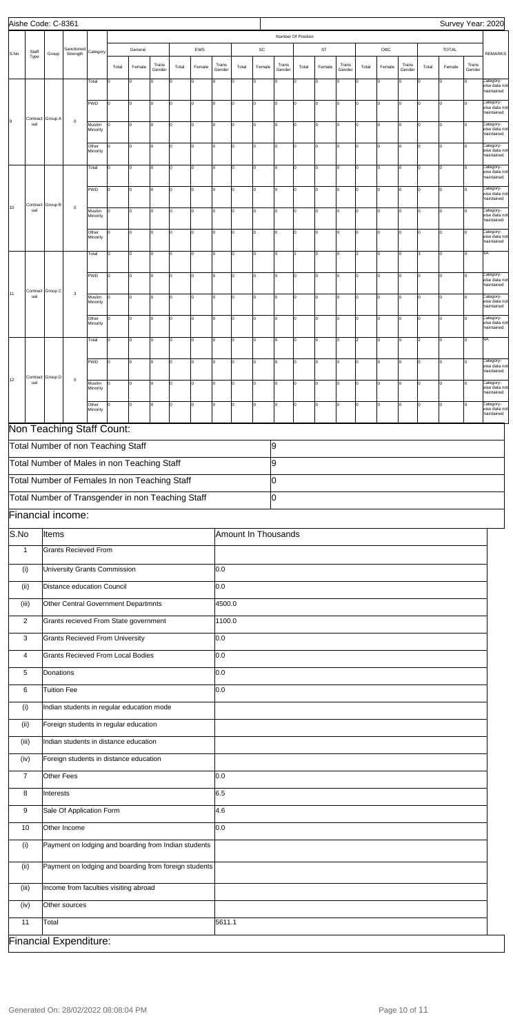|      |                 | Aishe Code: C-8361 |                                                       |                   |          |             |                 |       |          |                 |                     |             |                 |                    |             |                 |       |                |                 |       | Survey Year: 2020 |                 |                                          |
|------|-----------------|--------------------|-------------------------------------------------------|-------------------|----------|-------------|-----------------|-------|----------|-----------------|---------------------|-------------|-----------------|--------------------|-------------|-----------------|-------|----------------|-----------------|-------|-------------------|-----------------|------------------------------------------|
|      |                 |                    |                                                       |                   |          |             |                 |       |          |                 |                     |             |                 | Number Of Position |             |                 |       |                |                 |       |                   |                 |                                          |
| S.No | Staff<br>Type   | Group              | Sanctioned<br>Strength                                | Category          |          | General     |                 |       | EWS      |                 |                     | SC          |                 |                    | ST          |                 |       | OBC            |                 |       | <b>TOTAL</b>      |                 | <b>REMARKS</b>                           |
|      |                 |                    |                                                       |                   | Total    | Female      | Trans<br>Gender | Total | Female   | Trans<br>Gender | Total               | Female      | Trans<br>Gender | Total              | Female      | Trans<br>Gender | Total | Female         | Trans<br>Gender | Total | Female            | Trans<br>Gender |                                          |
|      |                 |                    |                                                       | Total             | $\Omega$ | $\mathbf 0$ | Ιo              | O     | 0        | 0               |                     | 0           | $\Omega$        | I٥                 | $\mathbf 0$ | $\mathbf 0$     | ١o    | O              |                 | l٥    | $\Omega$          |                 | Category-<br>wise data not<br>maintained |
|      |                 |                    |                                                       | PWD               | $\Omega$ | I٥          | Iо              | l0    | $\Omega$ | I٥              | l٥                  | 0           | $\Omega$        | lo.                | $\Omega$    | $\Omega$        | I٥    | $\overline{0}$ |                 |       | l0                | $\Omega$        | Category-<br>wise data not<br>maintained |
| Ι9   | ual             | Contract Group A   | $\mathbf 0$                                           | Muslim            |          | I٥          | Iо              | l0    | 0        | $\mathbf 0$     |                     | $\mathbf 0$ | $\Omega$        | I٥                 | $\Omega$    | $\Omega$        | I٥    | $\Omega$       |                 | l٥    | $\Omega$          | $\Omega$        | Category-<br>wise data not               |
|      |                 |                    |                                                       | Minority          |          | lo          | Iо              |       | $\Omega$ |                 |                     |             | $\Omega$        |                    |             |                 |       |                | n               | l٥    | ln.               | lo              | maintained<br>Category-                  |
|      |                 |                    |                                                       | Other<br>Minority |          |             |                 | I٥    |          | Iо              | lo                  | $\mathbf 0$ |                 | I٥                 | $\Omega$    | Iо              | I٥    | $\mathbf 0$    |                 |       |                   |                 | wise data not<br>maintained              |
|      |                 |                    |                                                       | Total             | $\Omega$ | I٥          | Iо              | I٥    | $\Omega$ | I٥              | I٥                  | lo          | $\Omega$        | lo                 | 0           | lo.             | lo    | $\overline{0}$ | $\Omega$        |       | l0                | l٥              | Category-<br>wise data not<br>maintained |
|      |                 |                    |                                                       | PWD               | l٥       | I٥          | Iо              | l0    | $\Omega$ | $\mathbf 0$     | I٥                  | 0           | $\Omega$        | I٥                 | $\Omega$    | $\overline{0}$  | I٥    | 0              | $\Omega$        | l٥    | l0                | l٥              | Category-<br>wise data not               |
| 10   | ual             | Contract Group B   | $\mathbf 0$                                           | Muslim            |          | lо          | Iо              | l0    | $\Omega$ | Iо              | lo                  | 0           | $\Omega$        | I٥                 | $\Omega$    | $\mathbf 0$     | I٥    | 0              |                 |       | n.                |                 | maintained<br>Category-                  |
|      |                 |                    |                                                       | Minority          |          |             |                 |       |          |                 |                     |             |                 |                    |             |                 |       |                |                 |       |                   |                 | wise data not<br>maintained              |
|      |                 |                    |                                                       | Other<br>Minority |          | I٥          | Iо              | I٥    | $\Omega$ | I٥              | lo                  | $\mathbf 0$ | $\Omega$        | lo.                | $\Omega$    | O               | I٥    | $\overline{0}$ |                 |       | l0                | $\Omega$        | Category-<br>wise data not<br>maintained |
|      |                 |                    |                                                       | Total             | $\Omega$ | l0          | Iо              | l0    | 0        | $\mathbf 0$     | lo                  | $\mathbf 0$ | $\Omega$        |                    | $\Omega$    | $\mathbf 0$     | 2     | $\overline{0}$ |                 | l3    | $\Omega$          | I٥              | NA                                       |
|      |                 |                    |                                                       | PWD               | I٥       | lо          | Iо              | I٥    | $\Omega$ | Iо              | ١o                  | $\mathbf 0$ | $\mathbf 0$     | I٥                 | 0           | $\mathbf 0$     | I٥    | 0              | $\Omega$        | l٥    | n.                | I٥              | Category-<br>wise data not               |
| 11   | Contract<br>ual | Group C            | $\mathsf 3$                                           | Muslim            |          | I٥          | Iо              | I٥    | $\Omega$ | Iо              | I٥                  | lo          | $\Omega$        | I٥                 | 0           | lo.             | I٥    | $\overline{0}$ | $\Omega$        | l٥    | l0                | $\Omega$        | maintained<br>Category-                  |
|      |                 |                    |                                                       | Minority          |          |             |                 |       |          |                 |                     |             |                 |                    |             |                 |       |                |                 |       |                   |                 | wise data not<br>maintained              |
|      |                 |                    |                                                       | Other<br>Minority | $\Omega$ | I٥          | Iо              | l0    | $\Omega$ | 0               | 10                  | 0           | 0               | I٥                 | $\mathbf 0$ | $\overline{0}$  | I٥    | 0              | $\Omega$        | lo    | l0                | l٥              | Category-<br>wise data not<br>maintained |
|      |                 |                    |                                                       | Total             | $\Omega$ | lo          | Iо              | l0    | $\Omega$ | Iо              | lo                  | 0           | $\Omega$        | I٥                 | $\Omega$    | $\overline{0}$  | 2     | 0              |                 | 2     | $\Omega$          | I٥              | NA                                       |
|      |                 |                    |                                                       | PWD               | $\Omega$ | I٥          | Iо              | I٥    | $\Omega$ | I٥              | l٥                  | $\mathbf 0$ | $\Omega$        | lo                 | $\Omega$    | $\Omega$        | I٥    | $\Omega$       | n               |       | l0                | $\Omega$        | Category-<br>wise data not               |
| 12   | ual             | Contract Group D   | $\mathsf 0$                                           | Muslim            |          | l0          | Iо              | l0    | 0        | 0               | ۱n                  | $\Omega$    | $\Omega$        | I٥                 | $\Omega$    | $\Omega$        | I٥    | $\Omega$       | $\Omega$        | l٥    | l0                | $\Omega$        | maintained<br>Category-                  |
|      |                 |                    |                                                       | Minority          |          |             |                 |       |          |                 |                     |             |                 |                    |             |                 |       |                |                 |       |                   |                 | wise data not<br>maintained              |
|      |                 |                    |                                                       | Other<br>Minority |          |             |                 |       |          |                 |                     |             |                 |                    |             |                 |       |                |                 |       |                   |                 | Category-<br>wise data not<br>maintained |
|      |                 |                    | Non Teaching Staff Count:                             |                   |          |             |                 |       |          |                 |                     |             |                 |                    |             |                 |       |                |                 |       |                   |                 |                                          |
|      |                 |                    | Total Number of non Teaching Staff                    |                   |          |             |                 |       |          |                 |                     |             | 9               |                    |             |                 |       |                |                 |       |                   |                 |                                          |
|      |                 |                    | Total Number of Males in non Teaching Staff           |                   |          |             |                 |       |          |                 |                     |             | 9               |                    |             |                 |       |                |                 |       |                   |                 |                                          |
|      |                 |                    | Total Number of Females In non Teaching Staff         |                   |          |             |                 |       |          |                 |                     |             | 0               |                    |             |                 |       |                |                 |       |                   |                 |                                          |
|      |                 |                    | Total Number of Transgender in non Teaching Staff     |                   |          |             |                 |       |          |                 |                     |             | lо              |                    |             |                 |       |                |                 |       |                   |                 |                                          |
|      |                 |                    | Financial income:                                     |                   |          |             |                 |       |          |                 |                     |             |                 |                    |             |                 |       |                |                 |       |                   |                 |                                          |
| S.No |                 | Items              |                                                       |                   |          |             |                 |       |          |                 | Amount In Thousands |             |                 |                    |             |                 |       |                |                 |       |                   |                 |                                          |
|      | $\mathbf{1}$    |                    | <b>Grants Recieved From</b>                           |                   |          |             |                 |       |          |                 |                     |             |                 |                    |             |                 |       |                |                 |       |                   |                 |                                          |
|      | (i)             |                    | University Grants Commission                          |                   |          |             |                 |       |          | 0.0             |                     |             |                 |                    |             |                 |       |                |                 |       |                   |                 |                                          |
|      | (ii)            |                    | Distance education Council                            |                   |          |             |                 |       |          | 0.0             |                     |             |                 |                    |             |                 |       |                |                 |       |                   |                 |                                          |
|      | (iii)           |                    | Other Central Government Departmnts                   |                   |          |             |                 |       |          | 4500.0          |                     |             |                 |                    |             |                 |       |                |                 |       |                   |                 |                                          |
|      | $\overline{2}$  |                    | Grants recieved From State government                 |                   |          |             |                 |       |          | 1100.0          |                     |             |                 |                    |             |                 |       |                |                 |       |                   |                 |                                          |
|      | 3               |                    | <b>Grants Recieved From University</b>                |                   |          |             |                 |       |          | 0.0             |                     |             |                 |                    |             |                 |       |                |                 |       |                   |                 |                                          |
|      | 4               |                    | <b>Grants Recieved From Local Bodies</b>              |                   |          |             |                 |       |          | 0.0             |                     |             |                 |                    |             |                 |       |                |                 |       |                   |                 |                                          |
|      | 5               | Donations          |                                                       |                   |          |             |                 |       |          | 0.0             |                     |             |                 |                    |             |                 |       |                |                 |       |                   |                 |                                          |
|      | 6               | <b>Tuition Fee</b> |                                                       |                   |          |             |                 |       |          | 0.0             |                     |             |                 |                    |             |                 |       |                |                 |       |                   |                 |                                          |
|      | (i)             |                    | Indian students in regular education mode             |                   |          |             |                 |       |          |                 |                     |             |                 |                    |             |                 |       |                |                 |       |                   |                 |                                          |
|      | (ii)            |                    | Foreign students in regular education                 |                   |          |             |                 |       |          |                 |                     |             |                 |                    |             |                 |       |                |                 |       |                   |                 |                                          |
|      | (iii)           |                    | Indian students in distance education                 |                   |          |             |                 |       |          |                 |                     |             |                 |                    |             |                 |       |                |                 |       |                   |                 |                                          |
|      | (iv)            |                    | Foreign students in distance education                |                   |          |             |                 |       |          |                 |                     |             |                 |                    |             |                 |       |                |                 |       |                   |                 |                                          |
|      | $\overline{7}$  | Other Fees         |                                                       |                   |          |             |                 |       |          | 0.0             |                     |             |                 |                    |             |                 |       |                |                 |       |                   |                 |                                          |
|      | 8               | Tinterests         |                                                       |                   |          |             |                 |       |          | 6.5             |                     |             |                 |                    |             |                 |       |                |                 |       |                   |                 |                                          |
|      | 9               |                    | Sale Of Application Form                              |                   |          |             |                 |       |          | 4.6             |                     |             |                 |                    |             |                 |       |                |                 |       |                   |                 |                                          |
|      | 10              |                    | Other Income                                          |                   |          |             |                 |       |          | 0.0             |                     |             |                 |                    |             |                 |       |                |                 |       |                   |                 |                                          |
|      | (i)             |                    | Payment on lodging and boarding from Indian students  |                   |          |             |                 |       |          |                 |                     |             |                 |                    |             |                 |       |                |                 |       |                   |                 |                                          |
|      |                 |                    |                                                       |                   |          |             |                 |       |          |                 |                     |             |                 |                    |             |                 |       |                |                 |       |                   |                 |                                          |
|      | (ii)            |                    | Payment on lodging and boarding from foreign students |                   |          |             |                 |       |          |                 |                     |             |                 |                    |             |                 |       |                |                 |       |                   |                 |                                          |
|      | (iii)           |                    | Income from faculties visiting abroad                 |                   |          |             |                 |       |          |                 |                     |             |                 |                    |             |                 |       |                |                 |       |                   |                 |                                          |
|      | (iv)            |                    | Other sources                                         |                   |          |             |                 |       |          |                 |                     |             |                 |                    |             |                 |       |                |                 |       |                   |                 |                                          |
|      | 11              | Total              |                                                       |                   |          |             |                 |       |          | 5611.1          |                     |             |                 |                    |             |                 |       |                |                 |       |                   |                 |                                          |
|      |                 |                    | <b>Financial Expenditure:</b>                         |                   |          |             |                 |       |          |                 |                     |             |                 |                    |             |                 |       |                |                 |       |                   |                 |                                          |